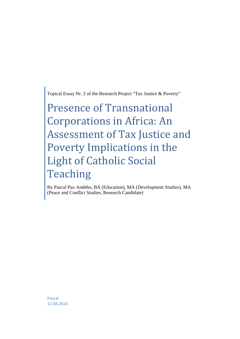Topical Essay Nr. 2 of the Research Project "Tax Justice & Poverty"

# Presence of Transnational Corporations in Africa: An Assessment of Tax Justice and Poverty Implications in the Light of Catholic Social Teaching

By Pascal Pax Andebo, BA (Education), MA (Development Studies), MA (Peace and Conflict Studies, Research Candidate)

Pascal 12.04.2014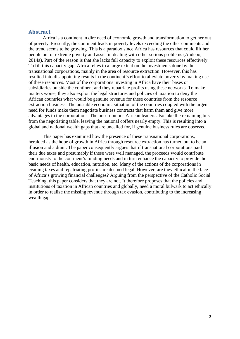## <span id="page-1-0"></span>**Abstract**

Africa is a continent in dire need of economic growth and transformation to get her out of poverty. Presently, the continent leads in poverty levels exceeding the other continents and the trend seems to be growing. This is a paradox since Africa has resources that could lift her people out of extreme poverty and assist in dealing with other serious problems (Andebo, 2014a). Part of the reason is that she lacks full capacity to exploit these resources effectively. To fill this capacity gap, Africa relies to a large extent on the investments done by the transnational corporations, mainly in the area of resource extraction. However, this has resulted into disappointing results in the continent's effort to alleviate poverty by making use of these resources. Most of the corporations investing in Africa have their bases or subsidiaries outside the continent and they repatriate profits using these networks. To make matters worse, they also exploit the legal structures and policies of taxation to deny the African countries what would be genuine revenue for these countries from the resource extraction business. The unstable economic situation of the countries coupled with the urgent need for funds make them negotiate business contracts that harm them and give more advantages to the corporations. The unscrupulous African leaders also take the remaining bits from the negotiating table, leaving the national coffers nearly empty. This is resulting into a global and national wealth gaps that are uncalled for, if genuine business rules are observed.

This paper has examined how the presence of these transnational corporations, heralded as the hope of growth in Africa through resource extraction has turned out to be an illusion and a drain. The paper consequently argues that if transnational corporations paid their due taxes and presumably if these were well managed, the proceeds would contribute enormously to the continent's funding needs and in turn enhance the capacity to provide the basic needs of health, education, nutrition, etc. Many of the actions of the corporations in evading taxes and repatriating profits are deemed legal. However, are they ethical in the face of Africa's growing financial challenges? Arguing from the perspective of the Catholic Social Teaching, this paper considers that they are not. It therefore proposes that the policies and institutions of taxation in African countries and globally, need a moral bulwark to act ethically in order to realize the missing revenue through tax evasion, contributing to the increasing wealth gap.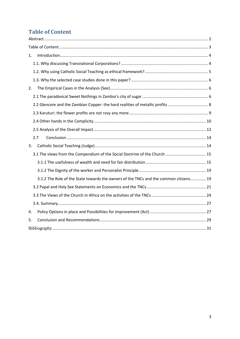## <span id="page-2-0"></span>**Table of Content**

| 1. |                                                                                       |  |  |
|----|---------------------------------------------------------------------------------------|--|--|
|    |                                                                                       |  |  |
|    |                                                                                       |  |  |
|    |                                                                                       |  |  |
| 2. |                                                                                       |  |  |
|    |                                                                                       |  |  |
|    | 2.2 Glencore and the Zambian Copper: the hard realities of metallic profits  8        |  |  |
|    |                                                                                       |  |  |
|    |                                                                                       |  |  |
|    |                                                                                       |  |  |
|    | 2.7                                                                                   |  |  |
| 3. |                                                                                       |  |  |
|    | 3.1 The views from the Compendium of the Social Doctrine of the Church  15            |  |  |
|    |                                                                                       |  |  |
|    |                                                                                       |  |  |
|    | 3.1.2 The Role of the State towards the owners of the TNCs and the common citizens 19 |  |  |
|    |                                                                                       |  |  |
|    |                                                                                       |  |  |
|    |                                                                                       |  |  |
| 4. |                                                                                       |  |  |
| 5. |                                                                                       |  |  |
|    |                                                                                       |  |  |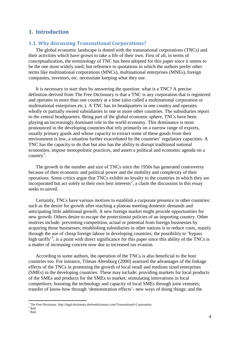## <span id="page-3-0"></span>**1. Introduction**

## <span id="page-3-1"></span>**1.1. Why discussing Transnational Corporations?**

The global economic landscape is dotted with the transnational corporations (TNCs) and their activities which have grown to take a life of their own. First of all, in terms of conceptualization, the terminology of TNC has been adopted for this paper since it seems to be the one most widely used; but reference to quotations in which the authors prefer other terms like multinational corporations (MNCs), multinational enterprises (MNEs), foreign companies, investors, etc. necessitate keeping what they use.

It is necessary to start then by answering the question: what is a TNC? A precise definition derived from The Free Dictionary is that a TNC is any corporation that is registered and operates in more than one country at a time (also called a multinational corporation or multinational enterprises etc.). A TNC has its headquarters in one country and operates wholly or partially owned subsidiaries in one or more other countries. The subsidiaries report to the central headquarters. Being part of the global economic sphere, TNCs have been playing an increasingly dominant role in the world economy. This dominance is most pronounced in the developing countries that rely primarily on a narrow range of exports, usually primary goods and whose capacity to extract some of these goods from their environment is low, a situation further exacerbated by the countries' regulatory capacities. A TNC has the capacity to do that but also has the ability to disrupt traditional national economies, impose monopolistic practices, and assert a political and economic agenda on a  $country<sup>1</sup>$  $country<sup>1</sup>$  $country<sup>1</sup>$ .

The growth in the number and size of TNCs since the 1950s has generated controversy because of their economic and political power and the mobility and complexity of their operations. Some critics argue that TNCs exhibit no loyalty to the countries in which they are incorporated but act solely in their own best interests [2](#page-3-3) , a claim the discussion in this essay seeks to unveil.

Certainly, TNCs have various motives to establish a corporate presence in other countries: such as the desire for growth after reaching a plateau meeting domestic demands and anticipating little additional growth. A new foreign market might provide opportunities for new growth. Others desire to escape the protectionist policies of an importing country. Other motives include: preventing competition, actual or potential from foreign businesses by acquiring those businesses; establishing subsidiaries in other nations is to reduce costs, mainly through the use of cheap foreign labour in developing countries; the possibility to 'bypass high tariffs<sup>[3](#page-3-4)</sup>, is a point with direct significance for this paper since this ability of the TNCs is a matter of increasing concern now due to increased tax evasion.

According to some authors, the operation of the TNCs is also beneficial to the host countries too. For instance, Tilman Altenburg (2000) assessed the advantages of the linkage effects of the TNCs in promoting the growth of local small and medium sized enterprises (SMEs) in the developing countries. These may include: providing markets for local products of the SMEs and products for the SMEs to market; stimulating innovations in local competitors; boosting the technology and capacity of local SMEs through joint ventures; transfer of know-how through 'demonstration effects'- new ways of doing things; and the

<sup>&</sup>lt;sup>1</sup> The Free Dictionary. http://legal-dictionary.thefreedictionary.com/Transnational+Corporation

<span id="page-3-3"></span><span id="page-3-2"></span> $2$  Ibid.

<span id="page-3-4"></span><sup>&</sup>lt;sup>3</sup> Ibid.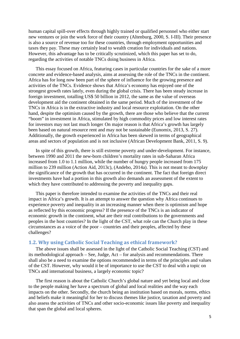human capital spill-over effects through highly trained or qualified personnel who either start new ventures or join the work force of their country (Altenburg, 2000, S. I-III). Their presence is also a source of revenue too for these countries, through employment opportunities and taxes they pay. These may certainly lead to wealth creation for individuals and nations. However, this advantage has to be critically scrutinized, which this paper has set to do, regarding the activities of notable TNCs doing business in Africa.

This essay focused on Africa, featuring cases in particular countries for the sake of a more concrete and evidence-based analysis, aims at assessing the role of the TNCs in the continent. Africa has for long now been part of the sphere of influence for the growing presence and activities of the TNCs. Evidence shows that Africa's economy has enjoyed one of the strongest growth rates lately, even during the global crisis. There has been steady increase in foreign investment, totalling US\$ 50 billion in 2012, the same as the value of overseas development aid the continent obtained in the same period. Much of the investment of the TNCs in Africa is in the extractive industry and local resource exploitation. On the other hand, despite the optimism caused by the growth, there are those who believe that the current "boom" in investment in Africa, stimulated by high commodity prices and low interest rates for investors may not last much longer. On major reason is that Africa's growth has largely been based on natural resource rent and may not be sustainable (Eunomix, 2013, S. 27). Additionally, the growth experienced in Africa has been skewed in terms of geographical areas and sectors of population and is not inclusive (African Development Bank, 2011, S. 9).

In spite of this growth, there is still extreme poverty and under-development. For instance, between 1990 and 2011 the new-born children's mortality rates in sub-Saharan Africa increased from 1.0 to 1.1 million, while the number of hungry people increased from 175 million to 239 million (Action Aid, 2013c), (Andebo, 2014a). This is not meant to downplay the significance of the growth that has occurred in the continent. The fact that foreign direct investments have had a portion in this growth also demands an assessment of the extent to which they have contributed to addressing the poverty and inequality gaps.

This paper is therefore intended to examine the activities of the TNCs and their real impact in Africa's growth. It is an attempt to answer the question why Africa continues to experience poverty and inequality in an increasing manner when there is optimism and hope as reflected by this economic progress? If the presence of the TNCs is an indicator of economic growth in the continent, what are their real contributions to the governments and peoples in the host countries? In the light of the CST, what role can the Church play in these circumstances as a voice of the poor – countries and their peoples, affected by these challenges?

## <span id="page-4-0"></span>**1.2. Why using Catholic Social Teaching as ethical framework?**

The above issues shall be assessed in the light of the Catholic Social Teaching (CST) and its methodological approach – See, Judge, Act – for analysis and recommendations. There shall also be a need to examine the options recommended in terms of the principles and values of the CST. However, why would it be of importance to use the CST to deal with a topic on TNCs and international business, a largely economic topic?

The first reason is about the Catholic Church's global nature and yet being local and close to the people making her have a spectrum of global and local realities and the way each impacts on the other. Secondly, the church being an institution based on morals, norms, ethics and beliefs make it meaningful for her to discuss themes like justice, taxation and poverty and also assess the activities of TNCs and other socio-economic issues like poverty and inequality that span the global and local spheres.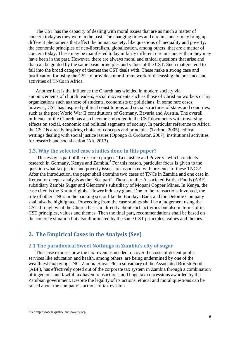The CST has the capacity of dealing with moral issues that are as much a matter of concern today as they were in the past. The changing times and circumstances may bring up different phenomena that affect the human society, like questions of inequality and poverty, the economic principles of neo-liberalism, globalization, among others, that are a matter of concern today. These may be manifested today in fairly different circumstances than they may have been in the past. However, there are always moral and ethical questions that arise and that can be guided by the same basic principles and values of the CST. Such matters tend to fall into the broad category of themes the CST deals with. These make a strong case and justification for using the CST to provide a moral framework of discussing the presence and activities of TNCs in Africa.

Another fact is the influence the Church has wielded in modern society via announcements of church leaders, social movements such as those of Christian workers or lay organizations such as those of students, economists or politicians. In some rare cases, however, CST has inspired political constitutions and social structures of states and countries, such as the post World War II constitutions of Germany, Bavaria and Austria. The overall influence of the Church has also become embodied in the CST documents with traversing effects on social, economic and political segments of society. In particular reference to Africa, the CST is already inspiring choice of concepts and principles (Tarimo, 2005), ethical writings dealing with social justice issues (Opongo & Orobator, 2007), institutional activities for research and social action (Alt, 2013).

## <span id="page-5-0"></span>**1.3. Why the selected case studies done in this paper?**

This essay is part of the research project "Tax Justice and Poverty" which conducts research in Germany, Kenya and Zambia.<sup>[4](#page-5-3)</sup> For this reason, particular focus is given to the question what tax justice and poverty issues are associated with presence of these TNCs? After the introduction, the paper shall examine two cases of TNCs in Zambia and one case in Kenya for deeper analysis as the "See part". These are the: Associated British Foods (ABF) subsidiary Zambia Sugar and Glencore's subsidiary of Mopani Copper Mines. In Kenya, the case cited is the Karuturi global flower industry giant. Due to the transactions involved, the role of other TNCs in the banking sector like the Barclays Bank and the Deloitte Company shall also be highlighted. Proceeding from the case studies shall be a judgement using the CST through what the Church has said directly about such activities but also in terms of its CST principles, values and themes. Then the final part, recommendations shall be based on the concrete situation but also illuminated by the same CST principles, values and themes.

## <span id="page-5-1"></span>**2. The Empirical Cases in the Analysis (See)**

## <span id="page-5-2"></span>2**.1 The paradoxical Sweet Nothings in Zambia's city of sugar**

This case exposes how the tax revenues needed to cover the costs of decent public services like education and health, among others, are being undermined by one of the wealthiest taxpaying TNC. Zambia Sugar Plc, a subsidiary of the Associated British Food (ABF), has effectively opted out of the corporate tax system in Zambia through a combination of ingenious and lawful tax haven transactions, and huge tax concessions awarded by the Zambian government. Despite the legality of its actions, ethical and moral questions can be raised about the company's actions of tax evasion.

<span id="page-5-3"></span><sup>4</sup> See http://www.taxjustice-and-poverty.org/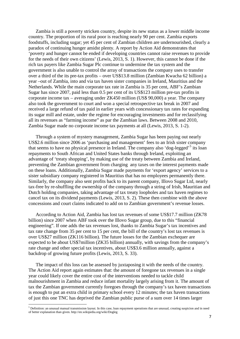Zambia is still a poverty stricken country, despite its new status as a lower middle income country. The proportion of its rural poor is reaching nearly 90 per cent. Zambia exports foodstuffs, including sugar; yet 45 per cent of Zambian children are undernourished, clearly a paradox of continuing hunger amidst plenty. A report by Action Aid demonstrates that 'poverty and hunger cannot be ended if developing countries cannot raise revenues to provide for the needs of their own citizens' (Lewis, 2013, S. 1). However, this cannot be done if the rich tax payers like Zambia Sugar Plc continue to undermine the tax system and the government is also unable to control the array of transactions the company uses to transfer over a third of the its pre-tax profits – over US\$13.8 million (Zambian Kwacha 62 billion) a year –out of Zambia, into and via tax haven sister companies in Ireland, Mauritius and the Netherlands. While the main corporate tax rate in Zambia is 35 per cent, ABF's Zambian Sugar has since 2007, paid less than 0.5 per cent of its US\$123 million pre-tax profits in corporate income tax – averaging under ZK450 million (US\$ 90,000) a year. The company also took the government to court and won a special retrospective tax break in 2007 and received a large refund of tax paid in earlier years with concessionary tax rates for expanding its sugar mill and estate, under the regime for encouraging investments and for reclassifying all its revenues as "farming income" as par the Zambian laws. Between 2008 and 2010, Zambia Sugar made no corporate income tax payments at all (Lewis, 2013, S. 1-2).

Through a system of mystery management, Zambia Sugar has been paying out nearly US\$2.6 million since 2006 as 'purchasing and management' fees to an Irish sister company that seems to have no physical presence in Ireland. The company also 'dog-legged'<sup>[5](#page-6-0)</sup> its loan repayments to South African and United States banks through Ireland, exploiting an advantage of 'treaty shopping', by making use of the treaty between Zambia and Ireland, preventing the Zambian government from charging any taxes on the interest payments made on these loans. Additionally, Zambia Sugar made payments for 'export agency' services to a sister subsidiary company registered in Mauritius that has no employees permanently there. Similarly, the company also sent profits back to its parent company, Illovo Sugar Ltd, nearly tax-free by re-shuffling the ownership of the company through a string of Irish, Mauritian and Dutch holding companies, taking advantage of tax treaty loopholes and tax haven regimes to cancel tax on its dividend payments (Lewis, 2013, S. 2). These then combine with the above concessions and court claims indicated to add on to Zambian government's revenue losses.

According to Action Aid, Zambia has lost tax revenues of some US\$17.7 million (ZK78 billion) since 2007 when ABF took over the Illovo Sugar group, due to this "financial engineering". If one adds the tax revenues lost, thanks to Zambia Sugar's tax incentives and tax rate change from 35 per cent to 15 per cent, the bill of the country's lost tax revenues is over US\$27 million (ZK116 billion). The future losses for the Zambian exchequer are expected to be about US\$7million (ZK35 billion) annually, with savings from the company's rate change and other special tax incentives, about US\$3.6 million annually, against a backdrop of growing future profits (Lewis, 2013, S. 33).

The impact of this loss can be assessed by juxtaposing it with the needs of the country. The Action Aid report again estimates that: the amount of foregone tax revenues in a single year could likely cover the entire cost of the interventions needed to tackle child malnourishment in Zambia and reduce infant mortality largely arising from it. The amount of tax the Zambian government currently foregoes through the company's tax haven transactions is enough to put an extra child in primary school every 12 minutes; the tax haven transactions of just this one TNC has deprived the Zambian public purse of a sum over 14 times larger

<span id="page-6-0"></span><sup>&</sup>lt;sup>5</sup> Definition: an unusual manual transmission layout. In this case, loan repayment operations that are unusual, creating suspicion and in need of better explanation than given. http://en.wikipedia.org/wiki/Dogleg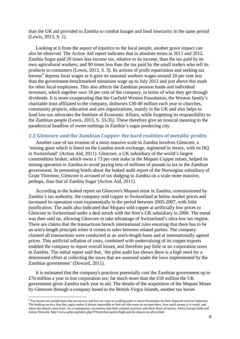than the UK aid provided to Zambia to combat hunger and food insecurity in the same period (Lewis, 2013, S. 1).

Looking at it from the aspect of injustice to the local people, another grave impact can also be observed. The Action Aid report indicates that in absolute terms in 2011 and 2012, Zambia Sugar paid 20 times less income tax, relative to its income, than the tax paid by its own agricultural workers; and 90 times less than the tax paid by the small traders who sell its products to consumers (Lewis, 2013, S. 3). Its actions of profit repatriation and seeking tax havens<sup>[6](#page-7-1)</sup> depress local wages as it gave its seasonal workers wages around 20 per cent less than the government-benchmarked minimum wage up to July 2012 and just above this mark for other local employees. This also affects the Zambian pension funds and individual investors, which together own 18 per cent of the company, in terms of what they get through dividends. It is more exasperating that the Garfield Weston Foundation, the Weston family's charitable trust affiliated to the company, disburses £30-40 million each year to churches, community projects, education and arts organizations, mainly in the UK and also helps to fund low-tax advocates the Institute of Economic Affairs, while forgetting its responsibility to the Zambian people (Lewis, 2013, S. 33-35). These therefore give an ironical meaning to the paradoxical headline of sweet nothings in Zambia's sugar producing city.

## <span id="page-7-0"></span>**2.2 Glencore and the Zambian Copper: the hard realities of metallic profits**

Another case of tax evasion of a more massive scale in Zambia involves Glencore, a 'mining giant which is listed on the London stock exchange, registered in Jersey, with its HQ in Switzerland' (Action Aid, 2011). Glencore, a UK subsidiary of the world's largest commodities broker, which owns a 73 per cent stake in the Mopani Copper mines, helped its mining operation in Zambia to avoid paying tens of millions of pounds in tax to the Zambian government. In presenting briefs about the leaked audit report of the Norwegian subsidiary of Grant Thornton, Glencore is accused of tax dodging in Zambia on a scale more massive, perhaps, than that of Zambia Sugar (Action Aid, 2011).

According to the leaked report on Glencore's Mopani mine in Zambia, commissioned by Zambia's tax authority, the company sold copper to Switzerland at below market prices and increased its operation costs exponentially in the period between 2005-2007, with little justification. The audit also indicated that Mopani sold copper at artificially low prices to Glencore in Switzerland under a deal struck with the firm's UK subsidiary in 2000. The metal was then sold on, allowing Glencore to take advantage of Switzerland's ultra-low tax regime. There are claims that the transactions breach international rules ensuring that there has to be an arm's-length principle when it comes to sales between related parties. The company claimed all transactions were conducted at an arm's-length basis and at internationally agreed prices. This artificial inflation of costs, combined with undervaluing of its copper exports enabled the company to report overall losses, and therefore pay little or no corporation taxes in Zambia. The initial report said that, 'the pilot audit has shown there is a high need for a determined effort at collecting the taxes that are assessed under the laws implemented by the Zambian government' (Doward, 2011).

It is estimated that the company's practices potentially cost the Zambian government up to £76 million a year in lost corporation tax; far much more than the £59 million the UK government gives Zambia each year in aid. The details of the acquisition of the Mopani Mines by Glencore through a company based in the British Virgin Islands, another tax haven

<span id="page-7-1"></span><sup>6</sup> Tax havens are jurisdictions that use secrecy and low tax rates as a selling point to attract businesses for their financial services industries. The banking secrecy that they apply makes it almost impossible to find out who owns an account there, how much money it is worth, and where the money came from. As a consequence, tax havens also hide criminal activities and illicit flows of money. Africa Europe Faith and Justice Network. http://www.aefjn.org/index.php/370/articles/capital-flight-and-its-impact-on-africa.html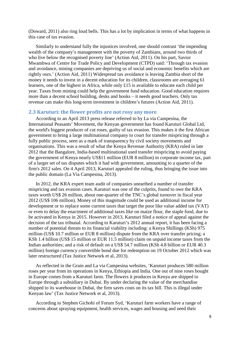(Doward, 2011) also ring loud bells. This has a lot by implication in terms of what happens in this case of tax evasion.

Similarly to understand fully the injustices involved, one should contrast 'the impending wealth of the company's management with the poverty of Zambians, around two thirds of who live below the recognised poverty line' (Action Aid, 2011). On his part, Savior Mwambwa of Centre for Trade Policy and Development (CTPD) said: 'Through tax evasion and avoidance, mining companies are depriving us of social and economic benefits which are rightly ours.' (Action Aid, 2011) Widespread tax avoidance is leaving Zambia short of the money it needs to invest in a decent education for its children, classrooms are averaging 61 learners, one of the highest in Africa, while only £15 is available to educate each child per year. Taxes from mining could help the government fund education. Good education requires more than a decent school building, desks and books – it needs good teachers. Only tax revenue can make this long-term investment in children's futures (Action Aid, 2011).

## <span id="page-8-0"></span>**2.3 Karuturi: the flower profits are not rosy any more**

According to an April 2013 press release referred to by La via Campesina, the International Peasants' Movement, the Kenyan government has found Karuturi Global Ltd, the world's biggest producer of cut roses, guilty of tax evasion. This makes it the first African government to bring a large multinational company to court for transfer mispricing through a fully public process, seen as a mark of transparency by civil society movements and organisations. This was a result of what the Kenya Revenue Authority (KRA) ruled in late 2012 that the Bangalore, India-based multinational used transfer mispricing to avoid paying the government of Kenya nearly US\$11 million (EUR 8 million) in corporate income tax, part of a larger set of tax disputes which it had with government, amounting to a quarter of the firm's 2012 sales. On 4 April 2013, Karuturi appealed the ruling, thus bringing the issue into the public domain (La Via Campesina, 2013).

In 2012, the KRA expert team audit of companies unearthed a number of transfer mispricing and tax evasion cases. Karuturi was one of the culprits, found to owe the KRA taxes worth US\$ 26 million, about one-quarter of the TNC's [global turnover in fiscal year](http://investing.businessweek.com/research/stocks/financials/financials.asp?ticker=KARG:IN&dataset=incomeStatement&period=A¤cy=US%20Dollar)  [2012](http://investing.businessweek.com/research/stocks/financials/financials.asp?ticker=KARG:IN&dataset=incomeStatement&period=A¤cy=US%20Dollar) (US\$ 106 million). Money of this magnitude could be used as additional income for development or to replace some current taxes that target the poor like value added tax (VAT) or even to delay the enactment of additional taxes like on maize flour, the staple food, due to be activated in Kenya in 2015. However in 2013, Karuturi filed a notice of appeal against the decision of the tax tribunal. According to Karuturi's 2012 annual report, it has been facing a number of potential threats to its financial viability including: a Kenya Shillings (KSh) 975 million (US\$ 10.7 million or EUR 8 million) dispute from the KRA over transfer pricing; a KSh 1.4 billion (US\$ 15 million or EUR 11.5 million) claim on unpaid income taxes from the Indian authorities; and a risk of default on a US\$ 54.7 million (KSh 4.8 billion or EUR 40.3 million) foreign currency convertible bond due for redemption on 19 October 2012 which was later restructured (Tax Justice Network et al, 2013).

As reflected in the Grain and La via Campesina websites, 'Karuturi produces 580 million roses per year from its operations in Kenya, Ethiopia and India. One out of nine roses bought in Europe comes from a Karuturi farm. The flowers it produces in Kenya are shipped to Europe through a subsidiary in Dubai. By under declaring the value of the merchandise shipped to its warehouse in Dubai, the firm saves costs on its tax bill. This is illegal under Kenyan law' (Tax Justice Network et al, 2013).

According to Stephen Gichohi of Forum Syd, 'Karuturi farm workers have a range of concerns about spraying equipment, health services, wages and housing and need their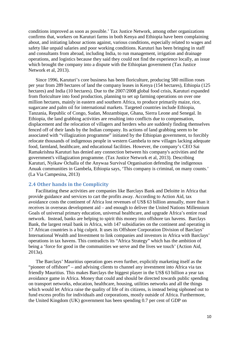conditions improved as soon as possible.' Tax Justice Network, among other organizations confirms that, workers on Karuturi farms in both Kenya and Ethiopia have been complaining about, and initiating labour actions against, various conditions, especially related to wages and safety like unpaid salaries and poor working conditions. Karuturi has been bringing in staff and consultants from abroad, including India, to run management, irrigation and drainage operations, and logistics because they said they could not find the experience locally, an issue which brought the company into a dispute with the Ethiopian government (Tax Justice Network et al, 2013).

Since 1996, Karuturi's core business has been floriculture, producing 580 million roses per year from 289 hectares of land the company leases in Kenya (154 hectares), Ethiopia (125 hectares) and India (10 hectares). Due to the 2007/2008 global food crisis, Karuturi expanded from floriculture into food production, planning to set up farming operations on over one million hectares, mainly in eastern and southern Africa, to produce primarily maize, rice, sugarcane and palm oil for international markets. Targeted countries include Ethiopia, Tanzania, Republic of Congo, Sudan, Mozambique, Ghana, Sierra Leone and Senegal. In Ethiopia, the land grabbing activities are resulting into conflicts due to compensation, displacement and the relocation of villagers and herders who are suddenly finding themselves fenced off of their lands by the Indian company. Its actions of land grabbing seem to be associated with "villagization programme" initiated by the Ethiopian government, to forcibly relocate thousands of indigenous people in western Gambela to new villages lacking adequate food, farmland, healthcare, and educational facilities. However, the company's CEO Sai Ramakrishna Karuturi has denied any connection between his company's activities and the government's villagization programme. (Tax Justice Network et al, 2013). Describing Karuturi, Nyikaw Ochalla of the Anywaa Survival Organisation defending the indigenous Anuak communities in Gambela, Ethiopia says, 'This company is criminal, on many counts.' (La Via Campesina, 2013)

## <span id="page-9-0"></span>**2.4 Other hands in the Complicity**

Facilitating these activities are companies like Barclays Bank and Deloitte in Africa that provide guidance and services to cart the profits away. According to Action Aid, tax avoidance costs the continent of Africa lost revenues of US\$ 63 billion annually, more than it receives in overseas development aid – and enough to deliver the United Nations Millennium Goals of universal primary education, universal healthcare, and upgrade Africa's entire road network. Instead, banks are helping to spirit this money into offshore tax havens. Barclays Bank, the largest retail bank in Africa, with 147 subsidiaries on the continent and operating in 17 African countries is a big culprit. It uses its Offshore Corporation Division of Barclays' International Wealth and Investment to link companies and investors in Africa with Barclays' operations in tax havens. This contradicts its "Africa Strategy" which has the ambition of being a 'force for good in the communities we serve and the lives we touch' (Action Aid, 2013a).

The Barclays' Mauritius operation goes even further, explicitly marketing itself as the "pioneer of offshore" – and advising clients to channel any investment into Africa via tax friendly Mauritius. This makes Barclays the biggest player in the US\$ 63 billion a year tax avoidance game in Africa. Money that could and should be directed towards public spending on transport networks, education, healthcare, housing, utilities networks and all the things which would let Africa raise the quality of life of its citizens, is instead being siphoned out to fund excess profits for individuals and corporations, mostly outside of Africa. Furthermore, the United Kingdom (UK) government has been spending 0.7 per cent of GDP on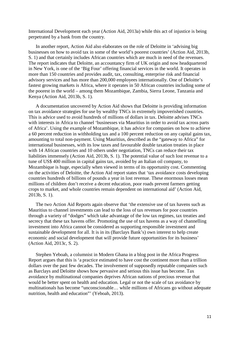International Development each year (Action Aid, 2013a) while this act of injustice is being perpetrated by a bank from the country.

In another report, Action Aid also elaborates on the role of Deloitte in 'advising big businesses on how to avoid tax in some of the world's poorest countries' (Action Aid, 2013b, S. 1) and that certainly includes African countries which are much in need of the revenues. The report indicates that Deloitte, an accountancy firm of UK origin and now headquartered in New York, is one of the 'Big Four' offering financial services in the world. It operates in more than 150 countries and provides audit, tax, consulting, enterprise risk and financial advisory services and has more than 200,000 employees internationally. One of Deloitte's fastest growing markets is Africa, where it operates in 50 African countries including some of the poorest in the world – among them Mozambique, Zambia, Sierra Leone, Tanzania and Kenya (Action Aid, 2013b, S. 1).

A documentation uncovered by Action Aid shows that Deloitte is providing information on tax avoidance strategies for use by wealthy TNCs in extremely impoverished countries. This is advice used to avoid hundreds of millions of dollars in tax. Deloitte advises TNCs with interests in Africa to channel 'businesses via Mauritius in order to avoid tax across parts of Africa'. Using the example of Mozambique, it has advice for companies on how to achieve a 60 percent reduction in withholding tax and a 100 percent reduction on any capital gains tax, amounting to total non-payment. Using Mauritius, described as the "gateway to Africa" for international businesses, with its low taxes and favourable double taxation treaties in place with 14 African countries and 10 others under negotiation, TNCs can reduce their tax liabilities immensely (Action Aid, 2013b, S. 1). The potential value of such lost revenue to a tune of US\$ 400 million in capital gains tax, avoided by an Italian oil company, to Mozambique is huge, especially when viewed in terms of its opportunity cost. Commenting on the activities of Deloitte, the Action Aid report states that 'tax avoidance costs developing countries hundreds of billions of pounds a year in lost revenue. These enormous losses mean millions of children don't receive a decent education, poor roads prevent farmers getting crops to market, and whole countries remain dependent on international aid' (Action Aid, 2013b, S. 1).

The two Action Aid Reports again observe that 'the extensive use of tax havens such as Mauritius to channel investments can lead to the loss of tax revenues for poor countries through a variety of "dodges" which take advantage of the low tax regimes, tax treaties and secrecy that these tax havens offer. Promoting the use of tax havens as a way of channelling investment into Africa cannot be considered as supporting responsible investment and sustainable development for all. It is in its (Barclays Bank's) own interest to help create economic and social development that will provide future opportunities for its business' (Action Aid, 2013c, S. 2).

Stephen Yeboah, a columnist in Modern Ghana in a blog post in the Africa Progress Report argues that this is 'a practice estimated to have cost the continent more than a trillion dollars over the past few decades. The involvement of supposedly reputable companies such as Barclays and Deloitte shows how pervasive and serious this issue has become. Tax avoidance by multinational companies deprives African nations of precious revenue that would be better spent on health and education. Legal or not the scale of tax avoidance by multinationals has become "unconscionable… while millions of Africans go without adequate nutrition, health and education"' (Yeboah, 2013).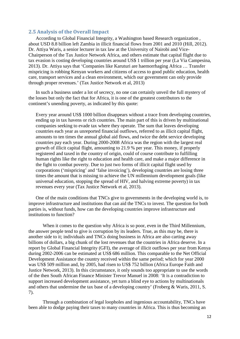## <span id="page-11-0"></span>**2.5 Analysis of the Overall Impact**

According to Global Financial Integrity, a Washington based Research organization , about USD 8.8 billion left Zambia in illicit financial flows from 2001 and 2010 (Hill, 2012). Dr. Attiya Waris, a senior lecturer in tax law at the University of Nairobi and Vice-Chairperson of the Tax Justice Network Africa, and others estimate that capital flight due to tax evasion is costing developing countries around US\$ 1 trillion per year (La Via Campesina, 2013). Dr. Attiya says that 'Companies like Karuturi are haemorrhaging Africa … Transfer mispricing is robbing Kenyan workers and citizens of access to good public education, health care, transport services and a clean environment, which our government can only provide through proper revenues.' (Tax Justice Network et al, 2013)

In such a business under a lot of secrecy, no one can certainly unveil the full mystery of the losses but only the fact that for Africa, it is one of the greatest contributors to the continent's unending poverty, as indicated by this quote:

Every year around US\$ 1000 billion disappears without a trace from developing countries, ending up in tax havens or rich countries. The main part of this is driven by multinational companies seeking to evade tax where they operate. The sum that leaves developing countries each year as unreported financial outflows, referred to as illicit capital flight, amounts to ten times the annual global aid flows, and twice the debt service developing countries pay each year. During 2000-2008 Africa was the region with the largest real growth of illicit capital flight, amounting to 21.9 % per year. This money, if properly registered and taxed in the country of origin, could of course contribute to fulfilling human rights like the right to education and health care, and make a major difference in the fight to combat poverty. Due to just two forms of illicit capital flight used by corporations ('mispricing' and 'false invoicing'), developing countries are losing three times the amount that is missing to achieve the UN millennium development goals (like universal education, stopping the spread of HIV, and halving extreme poverty) in tax revenues every year (Tax Justice Network et al, 2013).

One of the main conditions that TNCs give to governments in the developing world is, to improve infrastructure and institutions that can aid the TNCs to invest. The question for both parties is, without funds, how can the developing countries improve infrastructure and institutions to function?

When it comes to the question why Africa is so poor, even in the Third Millennium, the answer people tend to give is corruption by its leaders. True, as this may be, there is another side to it; individuals and TNCs doing business in Africa are also carting away billions of dollars, a big chunk of the lost revenues that the countries in Africa deserve. In a report by Global Financial Integrity (GFI), the average of illicit outflows per year from Kenya during 2002-2006 can be estimated at US\$ 686 million. This comparable to the Net Official Development Assistance the country received within the same period; which for year 2000 was US\$ 509 million and, by 2005, had risen to US\$ 752 billion (Africa Europe Faith and Justice Network, 2013). In this circumstance, it only sounds too appropriate to use the words of the then South African Finance Minister Trevor Manuel in 2008: 'It is a contradiction to support increased development assistance, yet turn a blind eye to actions by multinationals and others that undermine the tax base of a developing country' (Froberg & Waris, 2011, S. 7).

Through a combination of legal loopholes and ingenious accountability, TNCs have been able to dodge paying their taxes to many countries in Africa. This is thus becoming an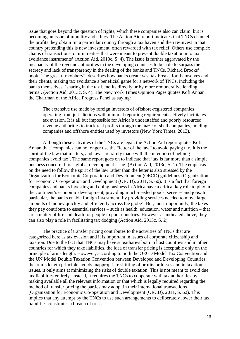issue that goes beyond the question of rights, which these companies also can claim, but is becoming an issue of morality and ethics. The Action Aid report indicates that TNCs channel the profits they obtain 'in a particular country through a tax haven and then re-invest in that country pretending this is new investment, often rewarded with tax relief. Others use complex chains of transactions to turn treaties that were meant to prevent double taxation into tax avoidance instruments' (Action Aid, 2013c, S. 4). The issue is further aggravated by the incapacity of the revenue authorities in the developing countries to be able to surpass the secrecy and lack of transparency in the dealing of the banks and TNCs. Richard Brooks', book "The great tax robbery", describes how banks create vast tax breaks for themselves and their clients, making tax avoidance a beneficial game for a network of TNCs, including the banks themselves, 'sharing in the tax benefits directly or by more remunerative lending terms'. (Action Aid, 2013c, S. 4). The New York Times Opinion Pages quotes Kofi Annan, the Chairman of the Africa Progress Panel as saying:

The extensive use made by foreign investors of offshore-registered companies operating from jurisdictions with minimal reporting requirements actively facilitates tax evasion. It is all but impossible for Africa's understaffed and poorly resourced revenue authorities to track real profits through the maze of shell companies, holding companies and offshore entities used by investors (New York Times, 2013).

Although these activities of the TNCs are legal, the Action Aid report quotes Kofi Annan that 'companies can no longer use the "letter of the law" to avoid paying tax. It is the spirit of the law that matters, and laws are rarely made with the intention of helping companies avoid tax'. The same report goes on to indicate that 'tax is far more than a simple business concern. It is a global development issue' (Action Aid, 2013c, S. 1). The emphasis on the need to follow the spirit of the law rather than the letter is also stressed by the Organization for Economic Corporation and Development (OECD) guidelines (Organization for Economic Co-operation and Development (OECD), 2011, S. 60). It is a fact that foreign companies and banks investing and doing business in Africa have a critical key role to play in the continent's economic development, providing much-needed goods, services and jobs. In particular, the banks enable foreign investment 'by providing services needed to move large amounts of money quickly and efficiently across the globe'. But, most importantly, the taxes they pay contribute to essential services – such as health, education, water and nutrition – that are a matter of life and death for people in poor countries. However as indicated above, they can also play a role in facilitating tax dodging (Action Aid, 2013c, S. 2).

The practice of transfer pricing contributes to the activities of TNCs that are categorized here as tax evasion and it is important in issues of corporate citizenship and taxation. Due to the fact that TNCs may have subsidiaries both in host countries and in other countries for which they take liabilities, the idea of transfer pricing is acceptable only on the principle of arms length. However, according to both the OECD Model Tax Convention and the UN Model Double Taxation Convention between Developed and Developing Countries, the arm's length principle avoids inappropriate shifting of profits or losses and in taxation issues, it only aims at minimizing the risks of double taxation. This is not meant to avoid due tax liabilities entirely. Instead, it requires the TNCs to cooperate with tax authorities by making available all the relevant information or that which is legally required regarding the method of transfer pricing the parties may adopt in their international transactions (Organization for Economic Co-operation and Development (OECD), 2011, S. 62). This implies that any attempt by the TNCs to use such arrangements to deliberately lower their tax liabilities constitutes a breach of trust.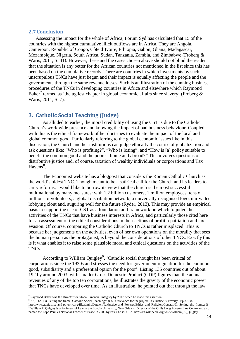#### <span id="page-13-0"></span>**2.7 Conclusion**

Assessing the impact for the whole of Africa, Forum Syd has calculated that 15 of the countries with the highest cumulative illicit outflows are in Africa. They are Angola, Cameroon, Republic of Congo, Côte d'Ivoire, Ethiopia, Gabon, Ghana, Madagascar, Mozambique, Nigeria, South Africa, Sudan, Tanzania, Zambia, and Zimbabwe (Froberg & Waris, 2011, S. 41). However, these and the cases chosen above should not blind the reader that the situation is any better for the African countries not mentioned in the list since this has been based on the cumulative records. There are countries in which investments by such unscrupulous TNCs have just begun and their impact is equally affecting the people and the governments through the same revenue losses. Such is an illustration of the cunning business procedures of the TNCs in developing countries in Africa and elsewhere which Raymond Baker<sup>[7](#page-13-2)</sup> termed as 'the ugliest chapter in global economic affairs since slavery' (Froberg & Waris, 2011, S. 7).

## <span id="page-13-1"></span>**3. Catholic Social Teaching (Judge)**

As alluded to earlier, the moral credibility of using the CST is due to the Catholic Church's worldwide presence and knowing the impact of bad business behaviour. Coupled with this is the ethical framework of her doctrines to evaluate the impact of the local and global common good. Particularly referring to the global economic issues like in this discussion, the Church and her institutions can judge ethically the course of globalization and ask questions like: "Who is profiting?", "Who is losing", and "How is [a] policy suitable to benefit the common good and the poorest home and abroad?" This involves questions of distributive justice and, of course, taxation of wealthy individuals or corporations and Tax Havens<sup>[8](#page-13-3)</sup>.

The Economist website has a blogpost that considers the Roman Catholic Church as the world's oldest TNC. Though meant to be a satirical call for the Church and its leaders to carry reforms, I would like to borrow its view that the church is the most successful multinational by many measures: with 1.2 billion customers, 1 million employees, tens of millions of volunteers, a global distribution network, a universally recognised logo, unrivalled lobbying clout and, auguring well for the future (Ryder, 2013). This may provide an empirical basis to support the use of CST as a foundation and framework on which to judge the activities of the TNCs that have business interests in Africa, and particularly those cited here for an assessment of the ethical considerations in their actions of profit repatriation and tax evasion. Of course, comparing the Catholic Church to TNCs is rather misplaced. This is because her judgements on the activities, even of her own operations on the morality that sees the human person as the protagonist, is beyond the considerations of other TNCs. Exactly this is it what enables it to raise some plausible moral and ethical questions on the activities of the TNCs.

According to William Quigley<sup>[9](#page-13-4)</sup>, 'Catholic social thought has been critical of corporations since the 1930s and stresses the need for government regulation for the common good, subsidiarity and a preferential option for the poor'. Listing 135 countries out of about 192 by around 2003, with smaller Gross Domestic Product (GDP) figures than the annual revenues of any of the top ten corporations, he illustrates the gravity of the economic power that TNCs have developed over time. As an illustration, he pointed out that through the law

 $\overline{a}$ 

<span id="page-13-4"></span><span id="page-13-3"></span>http://www.taxjustice-and-poverty.org/fileadmin/Dateien/Taxjustice\_and\_Poverty/Ethics\_and\_Religion/General/01\_Setting\_the\_frame.pdf <sup>9</sup> William P. Quigley is a Professor of Law in the Loyola University, New Orleans; Director of the Gillis Long Poverty Law Centre and also named the Pope Paul VI National Teacher of Peace in 2003 by Pax Christi, USA. http://en.wikipedia.org/wiki/William\_P.\_Quigley

<span id="page-13-2"></span> $7$  Raymond Baker was the Director for Global Financial Integrity by 2007, when he made this assertion

<sup>8</sup> Alt, J (2013). Setting the frame: Catholic Social Teachings' (CST) relevance for the project Tax Justice & Poverty. Pp.37-38.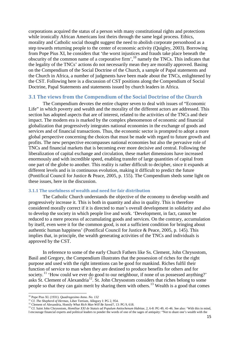corporations acquired the status of a person with many constitutional rights and protections while ironically African Americans lost theirs through the same legal process. Ethics, morality and Catholic social thought suggest the need to abolish corporate personhood as a step towards returning people to the center of economic activity (Quigley, 2003). Borrowing from Pope Pius XI, he considers that 'the worst injustices and frauds take place beneath the obscurity of the common name of a corporative firm', <sup>[10](#page-14-2)</sup> namely the TNCs. This indicates that the legality of the TNCs' actions do not necessarily mean they are morally approved. Basing on the Compendium of the Social Doctrine of the Church, a sample of Papal statements and the Church in Africa, a number of judgments have been made about the TNCs, enlightened by the CST. Following here is a discussion of CST positions along the Compendium of Social Doctrine, Papal Statements and statements issued by church leaders in Africa.

## <span id="page-14-0"></span>**3.1 The views from the Compendium of the Social Doctrine of the Church**

The Compendium devotes the entire chapter seven to deal with issues of "Economic Life" in which poverty and wealth and the morality of the different actors are addressed. This section has adopted aspects that are of interest, related to the activities of the TNCs and their impact. The modern era is marked by the complex phenomenon of economic and financial globalization that progressively integrates national economies in the exchange of goods and services and of financial transactions. Thus, the economic sector is prompted to adopt a more global perspective concerning the choices that must be made with regard to future growth and profits. The new perspective encompasses national economies but also the pervasive role of TNCs and financial markets that is becoming ever more decisive and central. Following the liberalization of capital exchange and circulation, these market dimensions have increased enormously and with incredible speed, enabling transfer of large quantities of capital from one part of the globe to another. This reality is rather difficult to decipher, since it expands at different levels and is in continuous evolution, making it difficult to predict the future (Pontifical Council for Justice & Peace, 2005, p. 155). The Compendium sheds some light on these issues, here in the discussion.

#### <span id="page-14-1"></span>**3.1.1 The usefulness of wealth and need for fair distribution**

The Catholic Church understands the objective of the economy to develop wealth and progressively increase it. This is both in quantity and also in quality. This is therefore considered morally correct if it is directed to man's overall development in solidarity and also to develop the society in which people live and work. 'Development, in fact, cannot be reduced to a mere process of accumulating goods and services. On the contrary, accumulation by itself, even were it for the common good, is not a sufficient condition for bringing about authentic human happiness' (Pontifical Council for Justice  $\&$  Peace, 2005, p. 145). This implies that, in principle, the wealth generating activities of the TNCs and individuals is approved by the CST.

In reference to some of the early Church Fathers like Ss. Clement, John Chrysostom, Basil and Gregory, the Compendium illustrates that the possession of riches for the right purpose and used with the right intentions can be good for mankind. Riches fulfil their function of service to man when they are destined to produce benefits for others and for society.<sup>[11](#page-14-3)</sup> 'How could we ever do good to our neighbour, if none of us possessed anything?' asks St. Clement of Alexandria<sup>[12](#page-14-4)</sup>. St. John Chrysostom considers that riches belong to some people so that they can gain merit by sharing them with others.<sup>[13](#page-14-5)</sup> Wealth is a good that comes

<sup>10</sup> Pope Pius XI. (1931). *Quadragesimo Anno. No. 132*

<span id="page-14-3"></span><span id="page-14-2"></span><sup>11</sup> Cf. *The Shepherd of Hermas*, Liber Tertium, Allegory I: PG 2, 954. 12 Clement of Alexandria, Homily *What Rich Man Will Be Saved?*, 13: PG 9, 618.

<span id="page-14-5"></span><span id="page-14-4"></span><sup>&</sup>lt;sup>13</sup> Cf. Saint John Chrysostom, *Homiliae XXI de Statuis ad Populum Antiochenum Habitae*, 2, 6-8: PG 49, 41-46. See also: 'With this in mind, I encourage financial experts and political leaders to ponder the words of one of the sages of antiquity: "Not to share one's wealth with the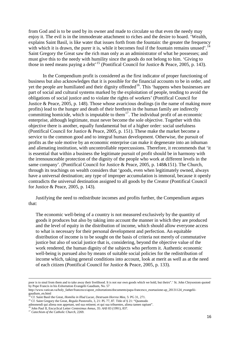from God and is to be used by its owner and made to circulate so that even the needy may enjoy it. The evil is in the immoderate attachment to riches and the desire to hoard. 'Wealth, explains Saint Basil, is like water that issues forth from the fountain: the greater the frequency with which it is drawn, the purer it is, while it becomes foul if the fountain remains unused'.<sup>[14](#page-15-0)</sup> Saint Gregory the Great saw the rich man only as an administrator of what he possesses; and must give this to the needy with humility since the goods do not belong to him. 'Giving to those in need means paying a debt<sup>'[15](#page-15-1)</sup> (Pontifical Council for Justice & Peace, 2005, p. 143).

In the Compendium profit is considered as the first indicator of proper functioning of business but also acknowledges that it is possible for the financial accounts to be in order, and yet the people are humiliated and their dignity offended<sup>16</sup>. This 'happens when businesses are part of social and cultural systems marked by the exploitation of people, tending to avoid the obligations of social justice and to violate the rights of workers' (Pontifical Council for Justice & Peace, 2005, p. 148). Those whose avaricious dealings (in the name of making more profits) lead to the hunger and death of their brethren in the human family are indirectly committing homicide, which is imputable to them<sup>[17](#page-15-3)</sup>. The individual profit of an economic enterprise, although legitimate, must never become the sole objective. Together with this objective there is another, equally fundamental but of a higher order: social usefulness (Pontifical Council for Justice & Peace, 2005, p. 151). These make the market become a service to the common good and to integral human development. Otherwise, the pursuit of profits as the sole motive by an economic enterprise can make it degenerate into an inhuman and alienating institution, with uncontrollable repercussions. Therefore, it recommends that 'it is essential that within a business the legitimate pursuit of profit should be in harmony with the irrenounceable protection of the dignity of the people who work at different levels in the same company'. (Pontifical Council for Justice & Peace, 2005, p. 148&151). The Church, through its teachings on wealth considers that 'goods, even when legitimately owned, always have a universal destination; any type of improper accumulation is immoral, because it openly contradicts the universal destination assigned to all goods by the Creator (Pontifical Council for Justice & Peace, 2005, p. 143).

Justifying the need to redistribute incomes and profits further, the Compendium argues that:

The economic well-being of a country is not measured exclusively by the quantity of goods it produces but also by taking into account the manner in which they are produced and the level of equity in the distribution of income, which should allow everyone access to what is necessary for their personal development and perfection. An equitable distribution of income is to be sought on the basis of criteria not merely of commutative justice but also of social justice that is, considering, beyond the objective value of the work rendered, the human dignity of the subjects who perform it. Authentic economic well-being is pursued also by means of suitable social policies for the redistribution of income which, taking general conditions into account, look at merit as well as at the need of each citizen (Pontifical Council for Justice & Peace, 2005, p. 133).

**.** 

poor is to steal from them and to take away their livelihood. It is not our own goods which we hold, but theirs".' St. John Chrysostom quoted by Pope Francis in his Exhortation Evangelii Gaudium, No. 57

http://www.vatican.va/holy\_father/francesco/apost\_exhortations/documents/papa-francesco\_esortazione-ap\_20131124\_evangeliigaudium\_en.html<br><sup>14</sup> Cf. Saint Basil the Great, *Homilia in Illud Lucae*, *Destruam Horrea Mea*, 5: PG 31, 271.

<span id="page-15-0"></span><sup>&</sup>lt;sup>15</sup> Cf. Saint Gregory the Great, *Regula Pastoralis*, 3, 21: PL 77, 87. Title of § 21: "Quomodo

<span id="page-15-1"></span>admonendi qui aliena non appetunt, sed sua retinent; et qui sua tribuentes, aliena tamen rapiunt".

<span id="page-15-3"></span><span id="page-15-2"></span><sup>16</sup> John Paul II, Encyclical Letter *Centesimus Annus*, 35: *AAS* 83 (1991), 837. <sup>17</sup> *Catechism of the Catholic Church*, 2269.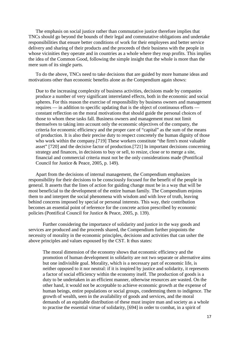The emphasis on social justice rather than commutative justice therefore implies that TNCs should go beyond the bounds of their legal and commutative obligations and undertake responsibilities that ensure better conditions of work for their employees and better service delivery and sharing of their products and the proceeds of their business with the people in whose vicinities they operate and in countries as a whole where they reap profits. This implies the idea of the Common Good, following the simple insight that the whole is more than the mere sum of its single parts.

To do the above, TNCs need to take decisions that are guided by more humane ideas and motivations other than economic benefits alone as the Compendium again shows:

Due to the increasing complexity of business activities, decisions made by companies produce a number of very significant interrelated effects, both in the economic and social spheres. For this reason the exercise of responsibility by business owners and management requires — in addition to specific updating that is the object of continuous efforts constant reflection on the moral motivations that should guide the personal choices of those to whom these tasks fall. Business owners and management must not limit themselves to taking into account only the economic objectives of the company, the criteria for economic efficiency and the proper care of "capital" as the sum of the means of production. It is also their precise duty to respect concretely the human dignity of those who work within the company.<sup>[719]</sup> These workers constitute "the firm's most valuable asset" [720] and the decisive factor of production.[721] In important decisions concerning strategy and finances, in decisions to buy or sell, to resize, close or to merge a site, financial and commercial criteria must not be the only considerations made (Pontifical Council for Justice & Peace, 2005, p. 149).

Apart from the decisions of internal management, the Compendium emphasizes responsibility for their decisions to be consciously focused for the benefit of the people in general. It asserts that the lines of action for guiding change must be in a way that will be most beneficial to the development of the entire human family. The Compendium enjoins them to and interpret the social phenomena with wisdom and with love of truth, leaving behind concerns imposed by special or personal interests. This way, their contribution becomes an essential point of reference for the concrete action prescribed by economic policies (Pontifical Council for Justice & Peace, 2005, p. 139).

Further considering the importance of solidarity and justice in the way goods and services are produced and the proceeds shared, the Compendium further pinpoints the necessity of morality in the economic principles, decisions and activities that can usher the above principles and values espoused by the CST. It thus states:

The moral dimension of the economy shows that economic efficiency and the promotion of human development in solidarity are not two separate or alternative aims but one indivisible goal. Morality, which is a necessary part of economic life, is neither opposed to it nor neutral: if it is inspired by justice and solidarity, it represents a factor of social efficiency within the economy itself. The production of goods is a duty to be undertaken in an efficient manner, otherwise resources are wasted. On the other hand, it would not be acceptable to achieve economic growth at the expense of human beings, entire populations or social groups, condemning them to indigence. The growth of wealth, seen in the availability of goods and services, and the moral demands of an equitable distribution of these must inspire man and society as a whole to practise the essential virtue of solidarity, [694] in order to combat, in a spirit of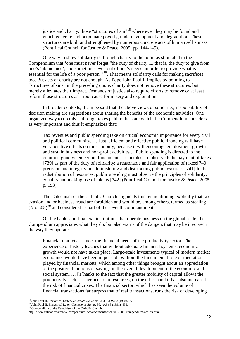justice and charity, those "structures of sin"<sup>[18](#page-17-0)</sup> where ever they may be found and which generate and perpetuate poverty, underdevelopment and degradation. These structures are built and strengthened by numerous concrete acts of human selfishness (Pontifical Council for Justice & Peace, 2005, pp. 144-145).

One way to show solidarity is through charity to the poor, as stipulated in the Compendium that 'one must never forget "the duty of charity ..., that is, the duty to give from one's 'abundance', and sometimes even out of one's needs, in order to provide what is essential for the life of a poor person"<sup>[19](#page-17-1)</sup>. That means solidarity calls for making sacrifices too. But acts of charity are not enough. As Pope John Paul II implies by pointing to "structures of sins" in the preceding quote, charity does not remove these structures, but merely alleviates their impact. Demands of justice also require efforts to remove or at least reform those structures as a root cause for misery and exploitation.

In broader contexts, it can be said that the above views of solidarity, responsibility of decision making are suggestions about sharing the benefits of the economic activities. One organized way to do this is through taxes paid to the state which the Compendium considers as very important and thus it emphasizes that:

Tax revenues and public spending take on crucial economic importance for every civil and political community. … Just, efficient and effective public financing will have very positive effects on the economy, because it will encourage employment growth and sustain business and non-profit activities ... Public spending is directed to the common good when certain fundamental principles are observed: the payment of taxes [739] as part of the duty of solidarity; a reasonable and fair application of taxes;[740] precision and integrity in administering and distributing public resources.[741] In the redistribution of resources, public spending must observe the principles of solidarity, equality and making use of talents.[742] (Pontifical Council for Justice & Peace, 2005, p. 153)

The Catechism of the Catholic Church augments this by mentioning explicitly that tax evasion and or business fraud are forbidden and would be, among others, termed as stealing  $(No. 508)^{20}$  $(No. 508)^{20}$  $(No. 508)^{20}$  and considered as part of the seventh commandment.

On the banks and financial institutions that operate business on the global scale, the Compendium appreciates what they do, but also warns of the dangers that may be involved in the way they operate:

Financial markets … meet the financial needs of the productivity sector. The experience of history teaches that without adequate financial systems, economic growth would not have taken place. Large-scale investments typical of modern market economies would have been impossible without the fundamental role of mediation played by financial markets, which among other things brought about an appreciation of the positive functions of savings in the overall development of the economic and social system. … [T]hanks to the fact that the greater mobility of capital allows the productivity sector easier access to resources, on the other hand it has also increased the risk of financial crises. The financial sector, which has seen the volume of financial transactions far surpass that of real transactions, runs the risk of developing

<span id="page-17-0"></span><sup>18</sup> John Paul II, Encyclical Letter *Sollicitudo Rei Socialis*, 36: *AAS* 80 (1988), 561.

<sup>19</sup> John Paul II, Encyclical Letter *Centesimus Annus*, 36: *AAS* 83 (1991), 839.

<span id="page-17-1"></span><sup>&</sup>lt;sup>20</sup> Compendium of the Catechism of the Catholic Church;

<span id="page-17-2"></span>http://www.vatican.va/archive/compendium\_ccc/documents/archive\_2005\_compendium-ccc\_en.html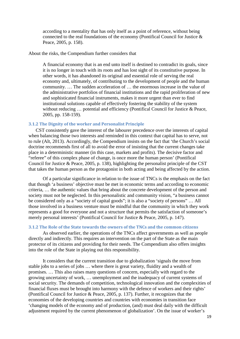according to a mentality that has only itself as a point of reference, without being connected to the real foundations of the economy (Pontifical Council for Justice & Peace, 2005, p. 158).

#### About the risks, the Compendium further considers that

A financial economy that is an end unto itself is destined to contradict its goals, since it is no longer in touch with its roots and has lost sight of its constitutive purpose. In other words, it has abandoned its original and essential role of serving the real economy and, ultimately, of contributing to the development of people and the human community. … The sudden acceleration of … the enormous increase in the value of the administrative portfolios of financial institutions and the rapid proliferation of new and sophisticated financial instruments, makes it more urgent than ever to find institutional solutions capable of effectively fostering the stability of the system without reducing ... potential and efficiency (Pontifical Council for Justice & Peace, 2005, pp. 158-159).

#### <span id="page-18-0"></span>**3.1.2 The Dignity of the worker and Personalist Principle**

CST consistently gave the interest of the labourer precedence over the interests of capital when balancing those two interests and reminded in this context that capital has to serve, not to rule (Alt, 2013). Accordingly, the Compendium insists on the fact that 'the Church's social doctrine recommends first of all to avoid the error of insisting that the current changes take place in a deterministic manner (in this case, markets and profits). The decisive factor and "referee" of this complex phase of change, is once more the human person' (Pontifical Council for Justice & Peace, 2005, p. 138), highlighting the personalist principle of the CST that takes the human person as the protagonist in both acting and being affected by the action.

Of a particular significance in relation to the issue of TNCs is the emphasis on the fact that though 'a business' objective must be met in economic terms and according to economic criteria, … the authentic values that bring about the concrete development of the person and society must not be neglected. In this personalistic and community vision, "a business cannot be considered only as a "society of capital goods"; it is also a "society of persons" … All those involved in a business venture must be mindful that the community in which they work represents a good for everyone and not a structure that permits the satisfaction of someone's merely personal interests' (Pontifical Council for Justice & Peace, 2005, p. 147).

#### <span id="page-18-1"></span>**3.1.2 The Role of the State towards the owners of the TNCs and the common citizens**

As observed earlier, the operations of the TNCs affect governments as well as people directly and indirectly. This requires an intervention on the part of the State as the main protector of its citizens and providing for their needs. The Compendium also offers insights into the role of the State in playing out this responsibility.

It considers that the current transition due to globalization 'signals the move from stable jobs to a series of jobs … where there is great variety, fluidity and a wealth of promises. … This also raises many questions of concern, especially with regard to the growing uncertainty of work, … unemployment and the inadequacy of current systems of social security. The demands of competition, technological innovation and the complexities of financial fluxes must be brought into harmony with the defence of workers and their rights' (Pontifical Council for Justice & Peace, 2005, p. 137). Further, it recognizes that the economies of the developing countries and countries with economies in transition face 'changing models of the economy and of production, (and) must deal daily with the difficult adjustment required by the current phenomenon of globalization'. On the issue of worker's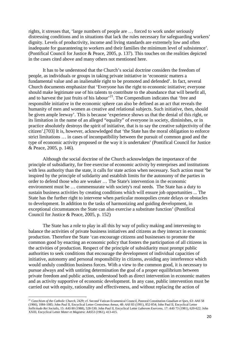rights, it stresses that, 'large numbers of people are … forced to work under seriously distressing conditions and in situations that lack the rules necessary for safeguarding workers' dignity. Levels of productivity, income and living standards are extremely low and often inadequate for guaranteeing to workers and their families the minimum level of subsistence'. (Pontifical Council for Justice & Peace, 2005, p. 137). This touches on the realities depicted in the cases cited above and many others not mentioned here.

It has to be understood that the Church's social doctrine considers the freedom of people, as individuals or groups in taking private initiative in 'economic matters a fundamental value and an inalienable right to be promoted and defended'. In fact, several Church documents emphasize that 'Everyone has the right to economic initiative; everyone should make legitimate use of his talents to contribute to the abundance that will benefit all, and to harvest the just fruits of his labour'<sup>21</sup>. The Compendium indicates that 'free and responsible initiative in the economic sphere can also be defined as an act that reveals the humanity of men and women as creative and relational subjects. Such initiative, then, should be given ample leeway'. This is because 'experience shows us that the denial of this right, or its limitation in the name of an alleged "equality" of everyone in society, diminishes, or in practice absolutely destroys the spirit of initiative, that is to say the creative subjectivity of the citizen'.[703] It is, however, acknowledged that 'the State has the moral obligation to enforce strict limitations … in cases of incompatibility between the pursuit of common good and the type of economic activity proposed or the way it is undertaken' (Pontifical Council for Justice & Peace, 2005, p. 146).

Although the social doctrine of the Church acknowledges the importance of the principle of subsidiarity, for free exercise of economic activity by enterprises and institutions with less authority than the state, it calls for state action when necessary. Such action must 'be inspired by the principle of solidarity and establish limits for the autonomy of the parties in order to defend those who are weaker … The State's intervention in the economic environment must be … commensurate with society's real needs. The State has a duty to sustain business activities by creating conditions which will ensure job opportunities ... The State has the further right to intervene when particular monopolies create delays or obstacles to development. In addition to the tasks of harmonizing and guiding development, in exceptional circumstances the State can also exercise a substitute function' (Pontifical Council for Justice & Peace, 2005, p. 152)

The State has a role to play in all this by way of policy making and intervening to balance the activities of private business initiatives and citizens as they interact in economic production. Therefore the State 'can encourage citizens and businesses to promote the common good by enacting an economic policy that fosters the participation of all citizens in the activities of production. Respect of the principle of subsidiarity must prompt public authorities to seek conditions that encourage the development of individual capacities of initiative, autonomy and personal responsibility in citizens, avoiding any interference which would unduly condition business forces. With a view to the common good, it is necessary to pursue always and with untiring determination the goal of a proper equilibrium between private freedom and public action, understood both as direct intervention in economic matters and as activity supportive of economic development. In any case, public intervention must be carried out with equity, rationality and effectiveness, and without replacing the action of

<span id="page-19-0"></span><sup>21</sup> *Catechism of the Catholic Church*, 2429; cf. Second Vatican Ecumenical Council, Pastoral Constitution *Gaudium et Spes*, 63: *AAS* 58 (1966), 1084-1085; John Paul II, Encyclical Letter *Centesimus Annus*, 48: *AAS* 83 (1991), 852-854; John Paul II, Encyclical Letter *Sollicitudo Rei Socialis*, 15: *AAS* 80 (1988), 528-530; John Paul II, Encyclical Letter *Laborem Exercens*, 17: *AAS* 73 (1981), 620-622; John XXIII, Encyclical Letter *Mater et Magistra*: *AAS*53 (1961), 413-415.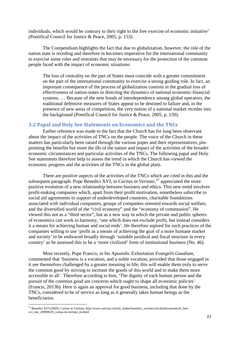individuals, which would be contrary to their right to the free exercise of economic initiative' (Pontifical Council for Justice & Peace, 2005, p. 153).

The Compendium highlights the fact that due to globalization, however, the role of the nation state is receding and therefore in becomes imperative for the international community to exercise some roles and restraints that may be necessary for the protection of the common people faced with the impact of economic situations:

The loss of centrality on the part of States must coincide with a greater commitment on the part of the international community to exercise a strong guiding role. In fact, an important consequence of the process of globalization consists in the gradual loss of effectiveness of nation-states in directing the dynamics of national economic-financial systems. … Because of the new bonds of interdependence among global operators, the traditional defensive measures of States appear to be destined to failure and, in the presence of new areas of competition, the very notion of a national market recedes into the background (Pontifical Council for Justice & Peace, 2005, p. 159).

## <span id="page-20-0"></span>**3.2 Papal and Holy See Statements on Economics and the TNCs**

Earlier reference was made to the fact that the Church has for long been observant about the impact of the activities of TNCs on the people. The voice of the Church in these matters has particularly been raised through the various popes and their representatives, pinpointing the benefits but more the ills of the nature and impact of the activities of the broader economic circumstances and particular activities of the TNCs. The following papal and Holy See statements therefore help to assess the trend in which the Church has viewed the economic progress and the activities of the TNCs in the global plain.

There are positive aspects of the activities of the TNCs which are cited in this and the subsequent paragraph. Pope Benedict XVI, in *Caritas in Veritate*,<sup>[22](#page-20-1)</sup> appreciated the more positive evolution of a new relationship between business and ethics. This new trend involves profit-making companies which, apart from their profit motivation, nonetheless subscribe to social aid agreements in support of underdeveloped countries, charitable foundations associated with individual companies, groups of companies oriented towards social welfare, and the diversified world of the "civil economy" and the "economy of communion". He viewed this not as a "third sector", but as a new way in which the private and public spheres of economics can work in harmony, 'one which does not exclude profit, but instead considers it a means for achieving human and social ends'. He therefore aspired for such practices of the companies willing to use 'profit as a means of achieving the goal of a more humane market and society' to be embraced broadly through 'suitable juridical and fiscal structure in every country' as he assessed this to be a 'more civilized' form of institutional business (No. 46).

Most recently, Pope Francis, in his Apostolic Exhortation *Evangelii Gaudium*, commented that 'business is a vocation, and a noble vocation, provided that those engaged in it see themselves challenged by a greater meaning in life; this will enable them truly to serve the common good by striving to increase the goods of this world and to make them more accessible to all'. Therefore according to him, 'The dignity of each human person and the pursuit of the common good are concerns which ought to shape all economic policies' (Francis, 2013b). Here is again an approval for good business, including that done by the TNCs, considered to be of service as long as it generally takes human beings as the beneficiaries.

<span id="page-20-1"></span><sup>&</sup>lt;sup>22</sup> Benedict XVI (2009), Caritas in Veritate; http://www.vatican.va/holy\_father/benedict\_xvi/encyclicals/documents/hf\_benxvi\_enc\_20090629\_caritas-in-veritate\_en.html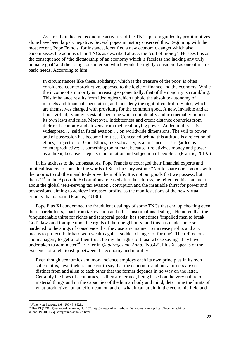As already indicated, economic activities of the TNCs purely guided by profit motives alone have been largely negative. Several popes in history observed this. Beginning with the most recent, Pope Francis, for instance, identified a new economic danger which also encompasses the actions of the TNCs as described above; the 'cult of money'. He sees this as the consequence of 'the dictatorship of an economy which is faceless and lacking any truly humane goal' and the rising consumerism which would be rightly considered as one of man's basic needs. According to him:

In circumstances like these, solidarity, which is the treasure of the poor, is often considered counterproductive, opposed to the logic of finance and the economy. While the income of a minority is increasing exponentially, that of the majority is crumbling. This imbalance results from ideologies which uphold the absolute autonomy of markets and financial speculation, and thus deny the right of control to States, which are themselves charged with providing for the common good. A new, invisible and at times virtual, tyranny is established; one which unilaterally and irremediably imposes its own laws and rules. Moreover, indebtedness and credit distance countries from their real economy and citizens from their real buying power. Added to this … is widespread … selfish fiscal evasion … on worldwide dimensions. The will to power and of possession has become limitless. Concealed behind this attitude is a rejection of ethics, a rejection of God. Ethics, like solidarity, is a nuisance! It is regarded as counterproductive: as something too human, because it relativizes money and power; as a threat, because it rejects manipulation and subjection of people… (Francis, 2013a)

In his address to the ambassadors, Pope Francis encouraged their financial experts and political leaders to consider the words of St. John Chrysostom: "Not to share one's goods with the poor is to rob them and to deprive them of life. It is not our goods that we possess, but theirs"<sup>[23](#page-21-0)</sup> In the Apostolic Exhortations released after the address, he reiterated his statement about the global 'self-serving tax evasion', corruption and the insatiable thirst for power and possessions, aiming to achieve increased profits, as the manifestations of the new virtual tyranny that is born' (Francis, 2013b).

Pope Pius XI condemned the fraudulent dealings of some TNCs that end up cheating even their shareholders, apart from tax evasion and other unscrupulous dealings. He noted that the 'unquenchable thirst for riches and temporal goods' has sometimes 'impelled men to break God's laws and trample upon the rights of their neighbours' and this has made some so hardened to the stings of conscience that they use any manner to increase profits and any means to protect their hard won wealth against sudden changes of fortune'. Their directors and managers, forgetful of their trust, betray the rights of those whose savings they have undertaken to administer<sup>[24](#page-21-1)</sup>. Earlier in *Quadragesimo Anno*, (No.42), Pius XI speaks of the existence of a relationship between the economy and morality:

Even though economics and moral science employs each its own principles in its own sphere, it is, nevertheless, an error to say that the economic and moral orders are so distinct from and alien to each other that the former depends in no way on the latter. Certainly the laws of economics, as they are termed, being based on the very nature of material things and on the capacities of the human body and mind, determine the limits of what productive human effort cannot, and of what it can attain in the economic field and

<sup>23</sup> *Homily on Lazarus*, 1:6 – *PG* 48, 992D.

<span id="page-21-1"></span><span id="page-21-0"></span><sup>&</sup>lt;sup>24</sup> Pius XI (1931), Quadragesimo Anno, No. 132. http://www.vatican.va/holy\_father/pius\_xi/encyclicals/documents/hf\_p-

xi\_enc\_19310515\_quadragesimo-anno\_en.html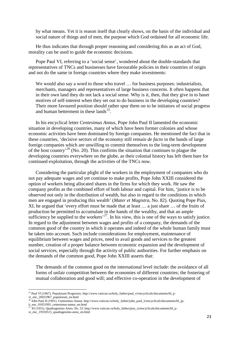by what means. Yet it is reason itself that clearly shows, on the basis of the individual and social nature of things and of men, the purpose which God ordained for all economic life.

He thus indicates that through proper reasoning and considering this as an act of God, morality can be used to guide the economic decisions.

Pope Paul VI, referring to a 'social sense', wondered about the double-standards that representatives of TNCs and businesses have favourable policies in their countries of origin and not do the same in foreign countries where they make investments:

We would also say a word to those who travel ... for business purposes: industrialists, merchants, managers and representatives of large business concerns. It often happens that in their own land they do not lack a social sense. Why is it, then, that they give in to baser motives of self-interest when they set out to do business in the developing countries? Their more favoured position should rather spur them on to be initiators of social progress and human betterment in these lands<sup>[25](#page-22-0)</sup>.

In his encyclical letter *Centesimus Annus*, Pope John Paul II lamented the economic situation in developing countries, many of which have been former colonies and whose economic activities have been dominated by foreign companies. He mentioned the fact that in these countries, 'decisive sectors of the economy still remain *de facto* in the hands of large foreign companies which are unwilling to commit themselves to the long-term development of the host country<sup>[26](#page-22-1)</sup> (No. 20). This confirms the situation that continues to plague the developing countries everywhere on the globe, as their colonial history has left them bare for continued exploitation, through the activities of the TNCs now.

Considering the particular plight of the workers in the employment of companies who do not pay adequate wages and yet continue to make profits, Pope John XXIII considered the option of workers being allocated shares in the firms for which they work. He saw the company profits as the combined effort of both labour and capital. For him, 'justice is to be observed not only in the distribution of wealth, but also in regard to the conditions in which men are engaged in producing this wealth' (*Mater et Magistra*, No. 82). Quoting Pope Pius, XI, he argued that 'every effort must be made that at least … a just share … of the fruits of production be permitted to accumulate in the hands of the wealthy, and that an ample sufficiency be supplied to the workers<sup>,  $27$ </sup>. In his view, this is one of the ways to satisfy justice. In regard to the adjustment between wages and profits of a company, the demands of the common good of the country in which it operates and indeed of the whole human family must be taken into account. Such include considerations for employment, maintenance of equilibrium between wages and prices, need to avail goods and services to the greatest number, creation of a proper balance between economic expansion and the development of social services, especially through the activity of public authorities. For further emphasis on the demands of the common good, Pope John XXIII asserts that:

The demands of the common good on the international level include: the avoidance of all forms of unfair competition between the economies of different countries; the fostering of mutual collaboration and good will; and effective co-operation in the development of

<span id="page-22-0"></span><sup>&</sup>lt;sup>25</sup> Paul VI (1967). Populorum Progressio. http://www.vatican.va/holy\_father/paul\_vi/encyclicals/documents/hf\_pvi\_enc\_26031967\_populorum\_en.html

<span id="page-22-1"></span> $^{26}$  John Paul II (1991). Centesimus Annus. http://www.vatican.va/holy\_father/john\_paul\_ii/encyclicals/documents/hf\_jpii\_enc\_01051991\_centesimus-annus\_en.html

<span id="page-22-2"></span> $^{27}$  XI (1931), Quadragesimo Anno, No. 53. http://www.vatican.va/holy\_father/pius\_xi/encyclicals/documents/hf\_pxi\_enc\_19310515\_quadragesimo-anno\_en.html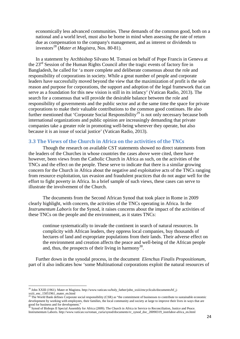economically less advanced communities. These demands of the common good, both on a national and a world level, must also be borne in mind when assessing the rate of return due as compensation to the company's management, and as interest or dividends to investors[28](#page-23-1) (*Mater et Magistra*, Nos. 80-81).

In a statement by Archbishop Silvano M. Tomasi on behalf of Pope Francis in Geneva at the 23<sup>rd</sup> Session of the Human Rights Council after the tragic events of factory fire in Bangladesh, he called for 'a more complete and deliberate consensus about the role and responsibility of corporations in society. While a great number of people and corporate leaders have successfully moved beyond the view that the maximization of profit is the sole reason and purpose for corporations, the support and adoption of the legal framework that can serve as a foundation for this new vision is still in its infancy' (Vatican Radio, 2013). The search for a consensus that will provide the desirable balance between the role and responsibility of governments and the public sector and at the same time the space for private corporations to make their valuable contributions to the common good continues. He also further mentioned that 'Corporate Social Responsibility<sup>[29](#page-23-2)</sup> is not only necessary because both international organizations and public opinion are increasingly demanding that private companies take a greater role in promoting well-being wherever they operate, but also because it is an issue of social justice' (Vatican Radio, 2013).

#### <span id="page-23-0"></span>**3.3 The Views of the Church in Africa on the activities of the TNCs**

Though the research on available CST statements showed no direct statements from the leaders of the Churches in whose countries the cases above were cited, there have however, been views from the Catholic Church in Africa as such, on the activities of the TNCs and the effect on the people. These serve to indicate that there is a similar growing concern for the Church in Africa about the negative and exploitative acts of the TNCs ranging from resource exploitation, tax evasion and fraudulent practices that do not augur well for the effort to fight poverty in Africa. In a brief sample of such views, these cases can serve to illustrate the involvement of the Church.

The documents from the Second African Synod that took place in Rome in 2009 clearly highlight, with concern, the activities of the TNCs operating in Africa. In the *Instrumentum Laboris* for the Synod, it raises concerns about the impact of the activities of these TNCs on the people and the environment, as it states TNCs:

continue systematically to invade the continent in search of natural resources. In complicity with African leaders, they oppress local companies, buy thousands of hectares of land and expropriate populations from their lands. Their adverse effect on the environment and creation affects the peace and well-being of the African people and, thus, the prospects of their living in harmony<sup>[30](#page-23-3)</sup>.

Further down in the synodal process, in the document *Elenchus Finalis Propositionum*, part of it also indicates how 'some Multinational corporations exploit the natural resources of

<span id="page-23-1"></span><sup>&</sup>lt;sup>28</sup> John XXIII (1961). Mater et Magistra. http://www.vatican.va/holy\_father/john\_xxiii/encyclicals/documents/hf\_jxxiii\_enc\_15051961\_mater\_en.html

<span id="page-23-2"></span> $^{29}$  The World Bank defines Corporate social responsibility (CSR) as "the commitment of businesses to contribute to sustainable economic development by working with employees, their families, the local community and society at large to improve their lives in ways that are good for business and for development."

<span id="page-23-3"></span><sup>&</sup>lt;sup>30</sup> Synod of Bishops II Special Assembly for Africa (2009). The Church in Africa in Service to Reconciliation, Justice and Peace. Instrumentum Laboris. http://www.vatican.va/roman\_curia/synod/documents/rc\_synod\_doc\_20090319\_instrlabor-africa\_en.html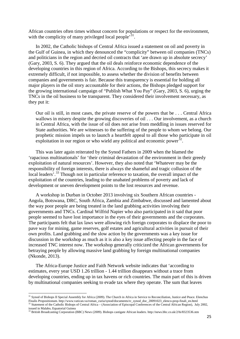African countries often times without concern for populations or respect for the environment, with the complicity of many privileged local people<sup>[31](#page-24-0)</sup>.

In 2002, the Catholic bishops of Central Africa issued a statement on oil and poverty in the Gulf of Guinea, in which they denounced the "complicity" between oil companies (TNCs) and politicians in the region and decried oil contracts that 'are drawn up in absolute secrecy' (Gary, 2003, S. 6). They argued that the oil deals reinforce economic dependence of the developing countries in this region of Africa. According to the Bishops, this secrecy makes it extremely difficult, if not impossible, to assess whether the division of benefits between companies and governments is fair. Because this transparency is essential for holding all major players in the oil story accountable for their actions, the Bishops pledged support for the growing international campaign of "Publish What You Pay" (Gary, 2003, S. 6), urging the TNCs in the oil business to be transparent. They considered their involvement necessary, as they put it:

Our oil is still, in most cases, the private reserve of the powers that be . . . Central Africa wallows in misery despite the growing discoveries of oil . . . Our involvement, as a church in Central Africa, with the issue of oil does not arise from meddling in issues reserved for State authorities. We are witnesses to the suffering of the people to whom we belong. Our prophetic mission impels us to launch a heartfelt appeal to all those who participate in oil exploitation in our region or who wield any political and economic power<sup>32</sup>.

This was later again reiterated by the Synod Fathers in 2009 when the blamed the 'rapacious multinationals' for 'their criminal devastation of the environment in their greedy exploitation of natural resources'. However, they also noted that 'Whatever may be the responsibility of foreign interests, there is always the shameful and tragic collusion of the local leaders'.<sup>[33](#page-24-2)</sup> Though not in particular reference to taxation, the overall impact of the exploitation of the countries, leading to the unabated problems of poverty and lack of development or uneven development points to the lost resources and revenue.

A workshop in Durban in October 2013 involving six Southern African countries - Angola, Botswana, DRC, South Africa, Zambia and Zimbabwe, discussed and lamented about the way poor people are being treated in the land grabbing activities involving their governments and TNCs. Cardinal Wilfrid Napier who also participated in it said that poor people seemed to have lost importance in the eyes of their governments and the corporates. The participants felt that lax laws were allowing rich foreign corporates to displace the poor to pave way for mining, game reserves, golf estates and agricultural activities in pursuit of their own profits. Land grabbing and the slow action by the governments was a key issue for discussion in the workshop as much as it is also a key issue affecting people in the face of increased TNC interest now. The workshop generally criticized the African governments for betraying people by allowing massive land grabbing by foreign multinational companies (Nkonde, 2013).

The Africa-Europe Justice and Faith Network website indicates that 'according to estimates, every year USD 1.26 trillion - 1.44 trillion disappears without a trace from developing countries, ending up in tax havens or rich countries. The main part of this is driven by multinational companies seeking to evade tax where they operate. The sum that leaves

<span id="page-24-0"></span><sup>&</sup>lt;sup>31</sup> Synod of Bishops II Special Assembly for Africa (2009). The Church in Africa in Service to Reconciliation, Justice and Peace. Elenchus Finalis Propositionum. http://www.vatican.va/roman\_curia/synod/documents/rc\_synod\_doc\_20091023\_elenco-prop-finali\_en.html <sup>32</sup> Statement of the Catholic Bishops of Central Africa – (Association of Episcopal Conferences of the Central African Region), July 2002, issued in Malabo, Equatorial Guinea

<span id="page-24-2"></span><span id="page-24-1"></span><sup>33</sup> British Broadcasting Corporation (BBC) News (2009). Bishops castigate African leaders. http://news.bbc.co.uk/2/hi/8323536.stm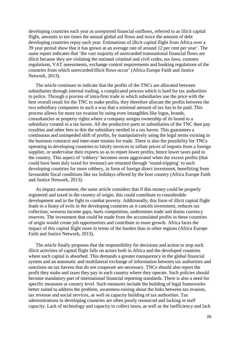developing countries each year as unreported financial outflows, referred to as illicit capital flight, amounts to ten times the annual global aid flows and twice the amount of debt developing countries repay each year. Estimations of illicit capital flight from Africa over a 39 year period show that it has grown at an average rate of around 12 per cent per year'. The same report indicates that 'the vast majority of unrecorded transnational financial flows are illicit because they are violating the national criminal and civil codes, tax laws, customs regulations, VAT assessments, exchange control requirements and banking regulations of the countries from which unrecorded/illicit flows occur' (Africa Europe Faith and Justice Network, 2013).

The article continues to indicate that the profits of the TNCs are allocated between subsidiaries through internal trading, a complicated process which is hard for tax authorities to police. Through a process of intra-firm trade in which subsidiaries use the price with the best overall result for the TNC to make profits, they therefore allocate the profits between the two subsidiary companies in such a way that a minimal amount of tax has to be paid. This process allows for more tax evasion by using even intangibles like logos, brands, consultancies or property rights where a company assigns ownership of its brand to a subsidiary created in a tax haven. All the productive parts or subsidiaries of the TNC then pay royalties and other fees to this the subsidiary nestled in a tax haven. This guarantees a continuous and unimpeded shift of profits, by manipulatively using the legal terms existing in the business contracts and inter-state treaties for trade. There is also the possibility for TNCs operating in developing countries to falsify invoices to inflate prices of imports from a foreign supplier, or undervalue their exports so as to report lower profits; hence lower taxes paid to the country. This aspect of 'robbery' becomes more aggravated when the excess profits (that could have been duly taxed for revenue) are returned through 'round-tripping' to such developing countries for more robbery, in form of foreign direct investment, benefitting from favourable fiscal conditions like tax holidays offered by the host country (Africa Europe Faith and Justice Network, 2013).

As impact assessment, the same article considers that if this money could be properly registered and taxed in the country of origin, this could contribute to considerable development and in the fight to combat poverty. Additionally, this form of illicit capital flight leads to a litany of evils in the developing countries as it cancels investment, reduces tax collection, worsens income gaps, hurts competition, undermines trade and drains currency reserves. The investment that could be made from the accumulated profits in these countries of origin would create job opportunities and contribute to more growth. Africa faces the impact of this capital flight more in terms of the burden than in other regions (Africa Europe Faith and Justice Network, 2013).

The article finally proposes that the responsibility for decisions and action to stop such illicit activities of capital flight falls on actors both in Africa and the developed countries where such capital is absorbed. This demands a greater transparency in the global financial system and an automatic and multilateral exchange of information between tax authorities and sanctions on tax havens that do not cooperate are necessary. TNCs should also report the profit they make and taxes they pay in each country where they operate. Such policies should become mandatory part of international financial reporting standards. There is also a need for specific measures at country level. Such measures include the building of legal frameworks better suited to address the problem, awareness-raising about the links between tax evasion, tax revenue and social services, as well as capacity building of tax authorities. Tax administrations in developing countries are often poorly resourced and lacking in staff capacity. Lack of technology and capacity to collect taxes, as well as the inefficiency and lack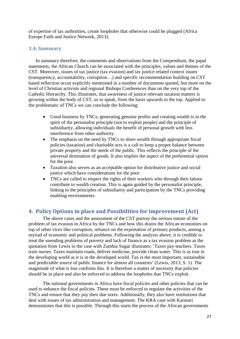of expertise of tax authorities, create loopholes that otherwise could be plugged (Africa Europe Faith and Justice Network, 2013).

## <span id="page-26-0"></span>**3.4. Summary**

In summary therefore, the comments and observations from the Compendium, the papal statements, the African Church can be associated with the principles, values and themes of the CST. Moreover, issues of tax justice (tax evasion) and tax justice related context issues (transparency, accountability, corruption…) and specific recommendation building on CST based reflection occur explicitly mentioned in a number of documents quoted, but more on the level of Christian activists and regional Bishops Conferences than on the very top of the Catholic Hierarchy. This illustrates, that awareness of justice relevant taxation matters is growing within the body of CST, so to speak, from the basis upwards to the top. Applied to the problematic of TNCs we can conclude the following:

- Good business by TNCs, generating genuine profits and creating wealth is in the spirit of the personalist principle (not to exploit people) and the principle of subsidiarity, allowing individuals the benefit of personal growth with less interference from other authority.
- The emphasis on the need by TNCs to share wealth through appropriate fiscal policies (taxation) and charitable acts is a call to keep a proper balance between private property and the needs of the public. This reflects the principle of the universal destination of goods. It also implies the aspect of the preferential option for the poor.
- Taxation also serves as an acceptable option for distributive justice and social justice which have considerations for the poor.
- TNCs are called to respect the rights of their workers who through their labour contribute to wealth creation. This is again guided by the personalist principle, linking to the principles of subsidiarity and participation by the TNCs providing enabling environments.

## <span id="page-26-1"></span>**4. Policy Options in place and Possibilities for improvement (Act)**

The above cases and the assessment of the CST portray the serious nature of the problem of tax evasion in Africa by the TNCs and how this drains the African economies on top of other vices like corruption, reliance on the exportation of primary products, among a myriad of economic and political problems. Following the analysis above, it is credible to treat the unending problems of poverty and lack of finance as a tax evasion problem as the quotation from Lewis in the case with Zambia Sugar illustrates: 'Taxes pay teachers. Taxes train nurses. Taxes maintain roads, deliver medicine, provide clean water. This is as true in the developing world as it is in the developed world. Tax is the most important, sustainable and predictable source of public finance for almost all countries' (Lewis, 2013, S. 1). The magnitude of what is lost confirms this. It is therefore a matter of necessity that policies should be in place and also be enforced to address the loopholes that TNCs exploit.

The national governments in Africa have fiscal policies and other policies that can be used to enhance the fiscal policies. These must be enforced to regulate the activities of the TNCs and ensure that they pay their due taxes. Additionally, they also have institutions that deal with issues of tax administration and management. The KRA case with Karuturi demonstrates that this is possible. Through this starts the process of the African governments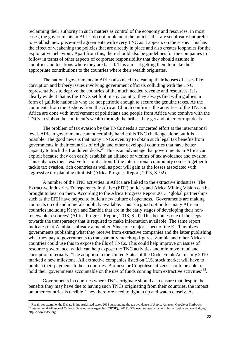reclaiming their authority in such matters as control of the economy and resources. In most cases, the governments in Africa do not implement the policies that are set already but prefer to establish new piece-meal agreements with every TNC as it appears on the scene. This has the effect of weakening the policies that are already in place and also creates loopholes for the exploitative behaviour. Apart from this, there should also be guidelines for the companies to follow in terms of other aspects of corporate responsibility that they should assume in countries and locations where they are based. This aims at getting them to make the appropriate contributions to the countries where their wealth originates.

The national governments in Africa also need to clean up their houses of cases like corruption and bribery issues involving government officials colluding with the TNC representatives to deprive the countries of the much needed revenue and resources. It is clearly evident that as the TNCs set foot in any country, they always find willing allies in form of gullible nationals who are not patriotic enough to secure the genuine taxes. As the comments from the Bishops from the African Church confirms, the activities of the TNCs in Africa are done with involvement of politicians and people from Africa who connive with the TNCs to siphon the continent's wealth through the bribes they get and other corrupt deals.

The problem of tax evasion by the TNCs needs a concerted effort at the international level. African governments cannot certainly handle this TNC challenge alone but it is possible. The good news is that many TNCs even try to obtain such legal tax benefits from governments in their countries of origin and other developed countries that have better capacity to track the fraudulent deals.<sup>[34](#page-27-0)</sup> This is an advantage that governments in Africa can exploit because they can easily establish an alliance of victims of tax avoidance and evasion. This enhances their resolve for joint action. If the international community comes together to tackle tax evasion, rich countries as well as poor will gain as the losses associated with aggressive tax planning diminish (Africa Progress Report, 2013, S. 92).

A number of the TNC activities in Africa are linked to the extractive industries. The Extractive Industries Transparency Initiative (EITI) policies and Africa Mining Vision can be brought to bear on them. According to the Africa Progress Report 2013, 'global partnerships such as the EITI have helped to build a new culture of openness. Governments are making contracts on oil and minerals publicly available. This is a good option for many African countries including Kenya and Zambia that are in the early stages of developing their nonrenewable resources' (Africa Progress Report, 2013, S. 9). This becomes one of the steps towards the transparency that is required to make information available. The same report indicates that Zambia is already a member. Since one major aspect of the EITI involves governments publishing what they receive from extractive companies and the latter publishing what they pay to governments to transparently match-up figures, Zambia and other African countries could use this to expose the ills of TNCs. This could help improve on issues of resource governance, which can help expose the TNC activities and minimize fraud and corruption internally. 'The adoption in the United States of the Dodd-Frank Act in July 2010 marked a new milestone. All extractive companies listed on U.S. stock market will have to publish their payments to host countries. Burmese or Congolese citizens should be able to hold their governments accountable on the use of funds coming from extractive activities'<sup>[35](#page-27-1)</sup>.

Governments in countries where TNCs originate should also ensure that despite the benefits they may have due to having such TNCs originating from their countries, the impact on other countries is terrible. They therefore need to tighten up and watch closely. As

<span id="page-27-1"></span><span id="page-27-0"></span><sup>&</sup>lt;sup>34</sup> Recall, for example, the Debate in industrialized states 2013 surrounding the tax avoidance of Apple, Amazon, Google or Starbucks <sup>35</sup> International Alliance of Catholic Development Agencies (CIDSE), (2012). 'We need transparency to fight corruption and tax dodging'. http://www.cidse.org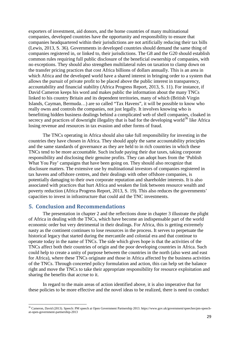exporters of investment, aid donors, and the home countries of many multinational companies, developed countries have the opportunity and responsibility to ensure that companies headquartered within their jurisdictions are not artificially reducing their tax bills (Lewis, 2013, S. 36). Governments in developed countries should demand the same thing of companies registered in, or linked to, their jurisdictions. The G8 and the G20 should establish common rules requiring full public disclosure of the beneficial ownership of companies, with no exceptions. They should also strengthen multilateral rules on taxation to clamp down on the transfer pricing practices that cost Africa billions of dollars annually. This is an area in which Africa and the developed world have a shared interest in bringing order to a system that allows the pursuit of private profit to be placed above the public interest in transparency, accountability and financial stability (Africa Progress Report, 2013, S. 11). For instance, if David Cameron keeps his word and makes public the information about the many TNCs linked to his country Britain and its dependent territories, many of which (British Virgin Islands, Cayman, Bermuda…) are so called "Tax Havens", it will be possible to know who really owns and controls the companies, not just legally. It involves knowing who is benefitting hidden business dealings behind a complicated web of shell companies, cloaked in secrecy and practices of downright illegality that is bad for the developing world<sup>[36](#page-28-1)</sup> like Africa losing revenue and resources in tax evasion and other forms of fraud.

The TNCs operating in Africa should also take full responsibility for investing in the countries they have chosen in Africa. They should apply the same accountability principles and the same standards of governance as they are held to in rich countries in which these TNCs tend to be more accountable. Such include paying their due taxes, taking corporate responsibility and disclosing their genuine profits. They can adopt hues from the 'Publish What You Pay' campaigns that have been going on. They should also recognize that disclosure matters. The extensive use by multinational investors of companies registered in tax havens and offshore centres, and their dealings with other offshore companies, is potentially damaging to their own corporate reputation and shareholder interests. It is also associated with practices that hurt Africa and weaken the link between resource wealth and poverty reduction (Africa Progress Report, 2013, S. 19). This also reduces the governments' capacities to invest in infrastructure that could aid the TNC investments.

## <span id="page-28-0"></span>**5. Conclusion and Recommendations**

 $\overline{a}$ 

The presentation in chapter 2 and the reflections done in chapter 3 illustrate the plight of Africa in dealing with the TNCs, which have become an indispensable part of the world economic order but very detrimental in their dealings. For Africa, this is getting extremely nasty as the continent continues to lose resources in the process. It serves to perpetuate the historical legacy that started during the mercantile and colonial era and that continue to operate today in the name of TNCs. The side which gives hope is that the activities of the TNCs affect both their countries of origin and the poor developing countries in Africa. Such could help to create a unity of purpose between the countries in the north (also west and east for Africa), where these TNCs originate and those in Africa affected by the business activities of the TNCs. Through concerted policy formulation and action, this can help set the balance right and move the TNCs to take their appropriate responsibility for resource exploitation and sharing the benefits that accrue to it.

In regard to the main areas of action identified above, it is also imperative that for these policies to be more effective and the novel ideas to be realized, there is need to conduct

<span id="page-28-1"></span><sup>36</sup> Cameron, David (2013). Speech: PM speech at Open Government Partnership 2013. https://www.gov.uk/government/speeches/pm-speechat-open-government-partnership-2013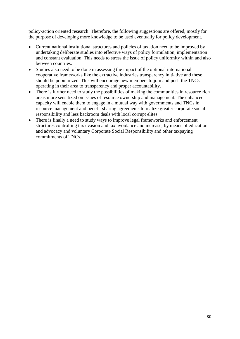policy-action oriented research. Therefore, the following suggestions are offered, mostly for the purpose of developing more knowledge to be used eventually for policy development.

- Current national institutional structures and policies of taxation need to be improved by undertaking deliberate studies into effective ways of policy formulation, implementation and constant evaluation. This needs to stress the issue of policy uniformity within and also between countries.
- Studies also need to be done in assessing the impact of the optional international cooperative frameworks like the extractive industries transparency initiative and these should be popularized. This will encourage new members to join and push the TNCs operating in their area to transparency and proper accountability.
- There is further need to study the possibilities of making the communities in resource rich areas more sensitized on issues of resource ownership and management. The enhanced capacity will enable them to engage in a mutual way with governments and TNCs in resource management and benefit sharing agreements to realize greater corporate social responsibility and less backroom deals with local corrupt elites.
- There is finally a need to study ways to improve legal frameworks and enforcement structures controlling tax evasion and tax avoidance and increase, by means of education and advocacy and voluntary Corporate Social Responsibility and other taxpaying commitments of TNCs.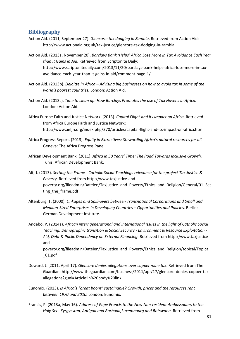## <span id="page-30-0"></span>**Bibliography**

Action Aid. (2011, September 27). *Glencore: tax dodging in Zambia*. Retrieved from Action Aid: http://www.actionaid.org.uk/tax-justice/glencore-tax-dodging-in-zambia

Action Aid. (2013a, November 20). *Barclays Bank 'Helps' Africa Lose More in Tax Avoidance Each Year than it Gains in Aid*. Retrieved from Scriptonite Daily: http://www.scriptonitedaily.com/2013/11/20/barclays-bank-helps-africa-lose-more-in-taxavoidance-each-year-than-it-gains-in-aid/comment-page-1/

- Action Aid. (2013b). *Deloitte in Africa – Advising big businesses on how to avoid tax in some of the world's poorest countries.* London: Action Aid.
- Action Aid. (2013c). *Time to clean up: How Barclays Promotes the use of Tax Havens in Africa.* London: Action Aid.
- Africa Europe Faith and Justice Network. (2013). *Capital Flight and its impact on Africa*. Retrieved from Africa Europe Faith and Justice Network: http://www.aefjn.org/index.php/370/articles/capital-flight-and-its-impact-on-africa.html
- Africa Progress Report. (2013). *Equity in Extractives: Stewarding Africa's natural resources for all.* Geneva: The Africa Progress Panel.
- African Development Bank. (2011). *Africa in 50 Years' Time: The Road Towards Inclusive Growth.* Tunis: African Development Bank.
- Alt, J. (2013). *Setting the Frame - Catholic Social Teachings relevance for the project Tax Justice & Poverty.* Retrieved from http://www.taxjustice-andpoverty.org/fileadmin/Dateien/Taxjustice\_and\_Poverty/Ethics\_and\_Religion/General/01\_Set ting\_the\_frame.pdf
- Altenburg, T. (2000). *Linkages and Spill-overs between Transnational Corporations and Small and Medium-Sized Enterprises in Developing Countries – Opportunities and Policies.* Berlin: German Development Institute.

Andebo, P. (2014a). *African interngenerational and international issues in the light of Catholic Social Teaching: Demographic transition & Social Security - Environment & Resource Exploitation - Aid, Debt & Puclic Dependency on External Financing.* Retrieved from http://www.taxjusticeand-

poverty.org/fileadmin/Dateien/Taxjustice\_and\_Poverty/Ethics\_and\_Religion/topical/Topical \_01.pdf

- Doward, J. (2011, April 17). *Glencore denies allegations over copper mine tax*. Retrieved from The Guardian: http://www.theguardian.com/business/2011/apr/17/glencore-denies-copper-taxallegations?guni=Article:in%20body%20link
- Eunomix. (2013). *Is Africa's "great boom" sustainable? Growth, prices and the resources rent between 1970 and 2010.* London: Eunomix.
- Francis, P. (2013a, May 16). *Address of Pope Francis to the New Non-resident Ambassadors to the Holy See: Kyrgyzstan, Antigua and Barbuda,Luxembourg and Botswana.* Retrieved from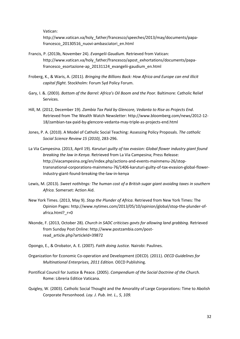Vatican:

http://www.vatican.va/holy\_father/francesco/speeches/2013/may/documents/papafrancesco\_20130516\_nuovi-ambasciatori\_en.html

- Francis, P. (2013b, November 24). *Evangelii Gaudium.* Retrieved from Vatican: http://www.vatican.va/holy\_father/francesco/apost\_exhortations/documents/papafrancesco\_esortazione-ap\_20131124\_evangelii-gaudium\_en.html
- Froberg, K., & Waris, A. (2011). *Bringing the Billions Back: How Africa and Europe can end illicit capital flight.* Stockholm: Forum Syd Policy Forum.
- Gary, I. &. (2003). *Bottom of the Barrel: Africa's Oil Boom and the Poor.* Baltimore: Catholic Relief Services.
- Hill, M. (2012, December 19). *Zambia Tax Paid by Glencore, Vedanta to Rise as Projects End*. Retrieved from The Wealth Watch Newsletter: http://www.bloomberg.com/news/2012-12- 18/zambian-tax-paid-by-glencore-vedanta-may-triple-as-projects-end.html
- Jones, P. A. (2010). A Model of Catholic Social Teaching: Assessing Policy Proposals. *The catholic Social Science Review 15 (2010)*, 283-296.
- La Via Campesina. (2013, April 19). *Karuturi guilty of tax evasion: Global flower industry giant found breaking the law in Kenya*. Retrieved from La Via Campesina; Press Release: http://viacampesina.org/en/index.php/actions-and-events-mainmenu-26/stoptransnational-corporations-mainmenu-76/1406-karuturi-guilty-of-tax-evasion-global-flowerindustry-giant-found-breaking-the-law-in-kenya
- Lewis, M. (2013). *Sweet nothitngs: The human cost of a British sugar giant avoiding taxes in southern Africa.* Somerset: Action Aid.
- New York Times. (2013, May 9). *Stop the Plunder of Africa*. Retrieved from New York Times: The Opinion Pages: http://www.nytimes.com/2013/05/10/opinion/global/stop-the-plunder-ofafrica.html? r=0
- Nkonde, F. (2013, October 28). *Church in SADC criticises govts for allowing land grabbing*. Retrieved from Sunday Post Online: http://www.postzambia.com/postread\_article.php?articleId=39872
- Opongo, E., & Orobator, A. E. (2007). *Faith doing Justice.* Nairobi: Paulines.
- Organization for Economic Co-operation and Development (OECD). (2011). *OECD Guidelines for Multinational Enterprises, 2011 Edition.* OECD Publishing.
- Pontifical Council for Justice & Peace. (2005). *Compendium of the Social Doctrine of the Church.* Rome: Libreria Editice Vaticana.
- Quigley, W. (2003). Catholic Social Thought and the Amorality of Large Corporations: Time to Abolish Corporate Personhood. *Loy. J. Pub. Int. L., 5, 109.*